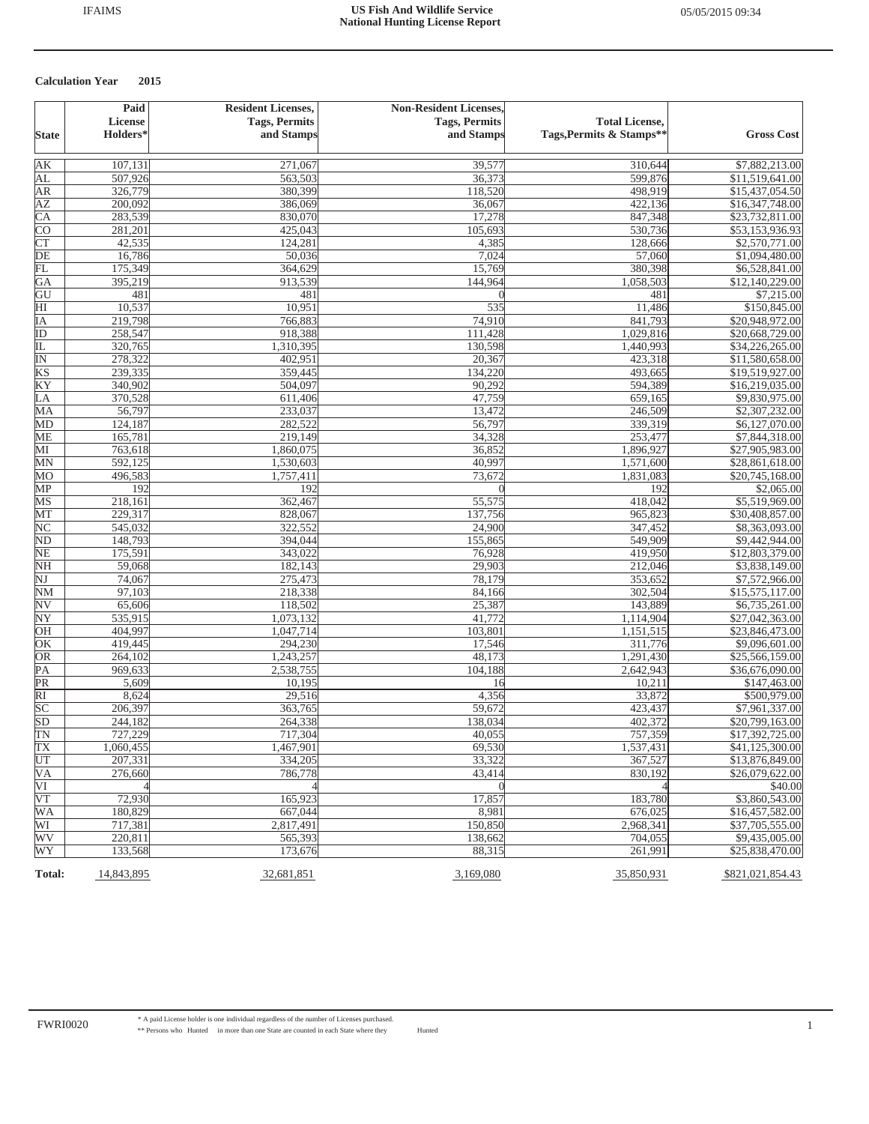|                                  | Paid                              | <b>Resident Licenses,</b><br><b>Tags, Permits</b> | <b>Non-Resident Licenses,</b><br><b>Tags, Permits</b> | <b>Total License,</b>    |                                   |
|----------------------------------|-----------------------------------|---------------------------------------------------|-------------------------------------------------------|--------------------------|-----------------------------------|
| <b>State</b>                     | <b>License</b><br><b>Holders*</b> | and Stamps                                        | and Stamps                                            | Tags, Permits & Stamps** | <b>Gross Cost</b>                 |
| AK                               | 107,131                           | 271,067                                           | 39,577                                                | 310,644                  | \$7,882,213.00                    |
| AL                               | 507,926                           | 563,503                                           | 36,373                                                | 599,876                  | \$11,519,641.00                   |
| <b>AR</b>                        | 326,779                           | 380,399                                           | 118,520                                               | 498,919                  | \$15,437,054.50                   |
| ΑZ                               | 200,092                           | 386,069                                           | 36,067                                                | 422,136                  | \$16,347,748.00                   |
| $\overline{\text{CA}}$           | 283,539                           | 830,070                                           | 17,278                                                | 847,348                  | \$23,732,811.00                   |
| <b>CO</b>                        | 281,201                           | 425,043                                           | 105,693                                               | 530,736                  | \$53,153,936.93                   |
| $\overline{\text{CT}}$           | 42,535                            | 124,281                                           | 4,385                                                 | 128,666                  | \$2,570,771.00                    |
| $\overline{DE}$                  | 16,786                            | 50,036                                            | 7,024                                                 | 57,060                   | \$1,094,480.00                    |
| FL                               | 175,349                           | 364,629                                           | 15,769                                                | 380,398                  | \$6,528,841.00                    |
| GA                               | 395,219                           | 913,539                                           | 144,964                                               | 1,058,503                | \$12,140,229.00                   |
| GU                               | 481                               | 481                                               |                                                       | 481                      | \$7,215.00                        |
| $\overline{\rm HI}$              | 10,537                            | 10,951                                            | 535                                                   | 11,486                   | \$150,845.00                      |
| ĪΑ                               | 219,798                           | 766,883                                           | 74,910                                                | 841,793                  | \$20,948,972.00                   |
| ID                               | 258,547                           | 918,388                                           | 111,428                                               | 1,029,816                | \$20,668,729.00                   |
| IL                               | 320,765                           | 1,310,395                                         | 130,598                                               | 1,440,993                | \$34,226,265.00                   |
| ΙN                               | 278,322                           | 402,951                                           | 20,367                                                | 423,318                  | \$11,580,658.00                   |
| KS                               | 239,335                           | 359,445                                           | 134,220                                               | 493,665                  | \$19,519,927.00                   |
| KY                               | 340,902                           | 504,097                                           | 90,292                                                | 594,389                  | \$16,219,035.00                   |
| LA                               | 370,528                           | 611,406                                           | 47,759                                                | 659,165                  | \$9,830,975.00                    |
| MA                               | 56,797                            | 233,037                                           | 13,472                                                | 246,509                  | \$2,307,232.00                    |
| MD                               | 124,187                           | 282,522                                           | 56,797                                                | 339,319                  | \$6,127,070.00                    |
| ME                               | 165,781                           | 219,149                                           | 34,328                                                | 253,477                  | \$7,844,318.00                    |
| МI                               | 763,618                           | 1,860,075                                         | 36,852                                                | 1,896,927                | \$27,905,983.00                   |
| MN                               | 592,125                           | 1,530,603                                         | 40,997                                                | 1,571,600                | \$28,861,618.00                   |
| MO                               | 496,583                           | 1,757,411                                         | 73,672                                                | 1,831,083                | \$20,745,168.00                   |
| MP                               | 192                               | 192                                               | $\theta$                                              | 192                      | \$2,065.00                        |
| MS                               | 218,161                           | 362,467                                           | 55,575                                                | 418,042                  | \$5,519,969.00                    |
| MТ                               | 229,317                           | 828,067                                           | 137,756                                               | 965,823                  | \$30,408,857.00                   |
| NC                               | 545,032                           | 322,552                                           | 24,900                                                | 347,452                  | \$8,363,093.00                    |
| ND                               | 148,793                           | 394,044                                           | 155,865                                               | 549,909                  | \$9,442,944.00                    |
| NE                               | 175,591                           | 343,022                                           | 76,928                                                | 419,950                  | \$12,803,379.00                   |
| <b>NH</b>                        | 59,068                            | 182,143                                           | 29,903                                                | 212,046                  | \$3,838,149.00                    |
| $\overline{\text{NJ}}$           | 74,067                            | 275,473                                           | 78,179                                                | 353,652                  | \$7,572,966.00                    |
| $NM$<br>$\overline{\textrm{NV}}$ | 97,103<br>65,606                  | 218,338<br>118,502                                | 84,166<br>25,387                                      | 302,504<br>143,889       | \$15,575,117.00<br>\$6,735,261.00 |
| $\overline{\text{NY}}$           | 535,915                           | 1,073,132                                         | 41,772                                                | 1,114,904                | \$27,042,363.00                   |
| OH                               | 404,997                           | 1,047,714                                         | 103,801                                               | 1,151,515                | \$23,846,473.00                   |
| OK                               | 419,445                           | 294,230                                           | 17,546                                                | 311,776                  | \$9,096,601.00                    |
| OR                               | 264,102                           | 1,243,257                                         | 48,173                                                | 1,291,430                | \$25,566,159.00                   |
| $\overline{PA}$                  | 969,633                           | 2,538,755                                         | 104,188                                               | 2,642,943                | \$36,676,090.00                   |
| PR                               | 5,609                             | 10,195                                            | 16                                                    | 10,211                   | \$147,463.00                      |
| $\overline{RI}$                  | 8,624                             | 29,516                                            | 4,356                                                 | 33,872                   | \$500,979.00                      |
| SC                               | 206,397                           | 363,765                                           | 59,672                                                | 423,437                  | \$7,961,337.00                    |
| SD                               | 244,182                           | 264,338                                           | 138,034                                               | 402,372                  | \$20,799,163.00                   |
| TN                               | 727,229                           | 717,304                                           | 40,055                                                | 757,359                  | \$17,392,725.00                   |
| TX                               | 1,060,455                         | 1,467,901                                         | 69,530                                                | 1,537,431                | \$41,125,300.00                   |
| UT                               | 207,331                           | 334,205                                           | 33,322                                                | 367,527                  | \$13,876,849.00                   |
| VA                               | 276,660                           | 786,778                                           | 43,414                                                | 830,192                  | \$26,079,622.00                   |
| VI                               |                                   |                                                   |                                                       |                          | \$40.00                           |
| $\overline{\text{VT}}$           | 72,930                            | 165,923                                           | 17,857                                                | 183,780                  | \$3,860,543.00                    |
| WA                               | 180,829                           | 667,044                                           | 8,981                                                 | 676,025                  | \$16,457,582.00                   |
| WI                               | 717,381                           | 2,817,491                                         | 150,850                                               | 2,968,341                | \$37,705,555.00                   |
| WV                               | 220,811                           | 565,393                                           | 138,662                                               | 704,055                  | \$9,435,005.00                    |
| WY                               | 133,568                           | 173,676                                           | 88,315                                                | 261.991                  | \$25,838,470.00                   |
| Total:                           | 14,843,895                        | 32,681,851                                        | 3,169,080                                             | 35,850,931               | \$821,021,854.43                  |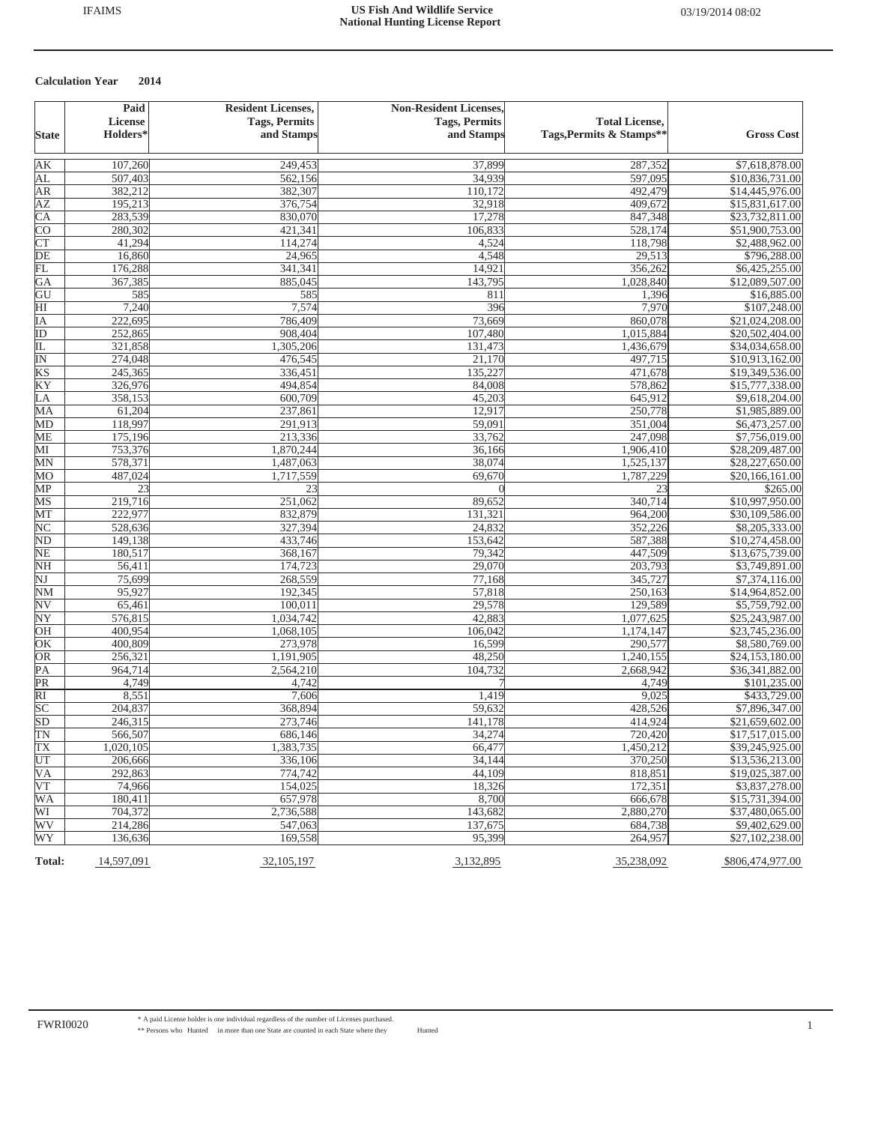|                               | Paid           | <b>Resident Licenses,</b> | <b>Non-Resident Licenses,</b> |                          |                   |
|-------------------------------|----------------|---------------------------|-------------------------------|--------------------------|-------------------|
|                               | <b>License</b> | <b>Tags, Permits</b>      | <b>Tags, Permits</b>          | <b>Total License,</b>    |                   |
| <b>State</b>                  | Holders*       | and Stamps                | and Stamps                    | Tags, Permits & Stamps** | <b>Gross Cost</b> |
| AK                            | 107,260        | 249,453                   | 37,899                        | 287,352                  | \$7,618,878.00    |
| AL                            | 507,403        | 562,156                   | 34,939                        | 597,095                  | \$10,836,731.00   |
| AR                            | 382,212        | 382,307                   | 110,172                       | 492,479                  | \$14,445,976.00   |
| <b>AZ</b>                     | 195,213        | 376,754                   | 32,918                        | 409,672                  | \$15,831,617.00   |
| $\overline{CA}$               | 283,539        | 830,070                   | 17,278                        | 847,348                  | \$23,732,811.00   |
| <b>CO</b>                     | 280,302        | 421,341                   | 106,833                       | 528,174                  | \$51,900,753.00   |
| <b>CT</b>                     | 41,294         | 114,274                   | 4,524                         | 118,798                  | \$2,488,962.00    |
| DE                            | 16,860         | 24,965                    | 4,548                         | 29,513                   | \$796,288.00      |
| FL                            | 176,288        | 341,341                   | 14,921                        | 356,262                  | \$6,425,255.00    |
| GA                            | 367,385        | 885,045                   | 143,795                       | 1,028,840                | \$12,089,507.00   |
| GU                            | 585            | 585                       | 811                           | 1,396                    | \$16,885.00       |
| $\overline{H}$                | 7,240          | 7,574                     | 396                           | 7,970                    | \$107,248.00      |
| IΑ                            | 222,695        | 786,409                   | 73,669                        | 860,078                  | \$21,024,208.00   |
| $\overline{ID}$               | 252,865        | 908,404                   | 107,480                       | 1,015,884                | \$20,502,404.00   |
| IL                            | 321,858        | 1,305,206                 | 131,473                       | 1,436,679                | \$34,034,658.00   |
| $\overline{\mathbb{N}}$       | 274,048        | 476,545                   | 21,170                        | 497,715                  | \$10,913,162.00   |
| KS                            | 245,365        | 336,451                   | 135,227                       | 471,678                  | \$19,349,536.00   |
| KY                            | 326,976        | 494,854                   | 84,008                        | 578,862                  | \$15,777,338.00   |
| LA                            | 358,153        | 600,709                   | 45,203                        | 645,912                  | \$9,618,204.00    |
| MA                            | 61,204         | 237,861                   | 12,917                        | 250,778                  | \$1,985,889.00    |
| MD                            | 118,997        | 291,913                   | 59,091                        | 351,004                  | \$6,473,257.00    |
| ME                            | 175,196        | 213,336                   | 33,762                        | 247,098                  | \$7,756,019.00    |
| МI                            | 753,376        | 1,870,244                 | 36,166                        | 1,906,410                | \$28,209,487.00   |
| MN                            | 578,371        | 1,487,063                 | 38,074                        | 1,525,137                | \$28,227,650.00   |
| MО                            | 487,024        | 1,717,559                 | 69,670                        | 1,787,229                | \$20,166,161.00   |
| MP                            | 23             | 23                        |                               | 23                       | \$265.00          |
| MS                            | 219,716        | 251,062                   | 89,652                        | 340,714                  | \$10,997,950.00   |
| MT                            | 222,977        | 832,879                   | 131,321                       | 964,200                  | \$30,109,586.00   |
| $\overline{\text{NC}}$        | 528,636        | 327,394                   | 24,832                        | 352,226                  | \$8,205,333.00    |
| N <sub>D</sub>                | 149,138        | 433,746                   | 153,642                       | 587,388                  | \$10,274,458.00   |
| $\overline{\text{NE}}$        | 180,517        | 368,167                   | 79,342                        | 447,509                  | \$13,675,739.00   |
| <b>NH</b>                     | 56,411         | 174,723                   | 29,070                        | 203,793                  | \$3,749,891.00    |
| $\overline{\text{NJ}}$        | 75,699         | 268,559                   | 77,168                        | 345,727                  | \$7,374,116.00    |
| $NM$                          | 95,927         | 192,345                   | 57,818                        | 250,163                  | \$14,964,852.00   |
| $\overline{\textrm{NV}}$      | 65,461         | 100,011                   | 29,578                        | 129,589                  | \$5,759,792.00    |
| ΝY                            | 576,815        | 1,034,742                 | 42,883                        | 1,077,625                | \$25,243,987.00   |
| OH                            | 400,954        | 1,068,105                 | 106,042                       | 1,174,147                | \$23,745,236.00   |
| OK                            | 400,809        | 273,978                   | 16,599                        | 290,577                  | \$8,580,769.00    |
| OR                            | 256,321        | 1,191,905                 | 48,250                        | 1,240,155                | \$24,153,180.00   |
| PA                            | 964,714        | 2,564,210                 | 104,732                       | 2,668,942                | \$36,341,882.00   |
| $\overline{\text{PR}}$        | 4,749          | 4,742                     |                               | 4,749                    | \$101,235.00      |
| $\overline{RI}$               | 8,551          | 7,606                     | 1,419                         | 9,025                    | \$433,729.00      |
| $rac{1}{\text{SC}}$           | 204,837        | 368,894                   | 59,632                        | 428,526                  | \$7,896,347.00    |
|                               | 246,315        | 273,746                   | 141,178                       | 414,924                  | \$21,659,602.00   |
| $\frac{\text{SD}}{\text{TN}}$ | 566,507        | 686,146                   | 34,274                        | 720,420                  | \$17,517,015.00   |
| TX                            | 1,020,105      | 1,383,735                 | 66,477                        | 1,450,212                | \$39,245,925.00   |
| UT                            | 206,666        | 336,106                   | 34.144                        | 370,250                  | \$13,536,213.00   |
| VA                            | 292,863        | 774,742                   | 44,109                        | 818,851                  | \$19,025,387.00   |
| VT                            | 74,966         | 154,025                   | 18,326                        | 172,351                  | \$3,837,278.00    |
| <b>WA</b>                     | 180,411        | 657,978                   | 8,700                         | 666,678                  | \$15,731,394.00   |
| WI                            | 704,372        | 2,736,588                 | 143,682                       | 2,880,270                | \$37,480,065.00   |
| WV                            | 214,286        | 547,063                   | 137,675                       | 684,738                  | \$9,402,629.00    |
| WY                            | 136,636        | 169,558                   | 95,399                        | 264,957                  | \$27,102,238.00   |
|                               |                |                           |                               |                          |                   |
| <b>Total:</b>                 | 14,597,091     | 32,105,197                | 3,132,895                     | 35,238,092               | \$806,474,977.00  |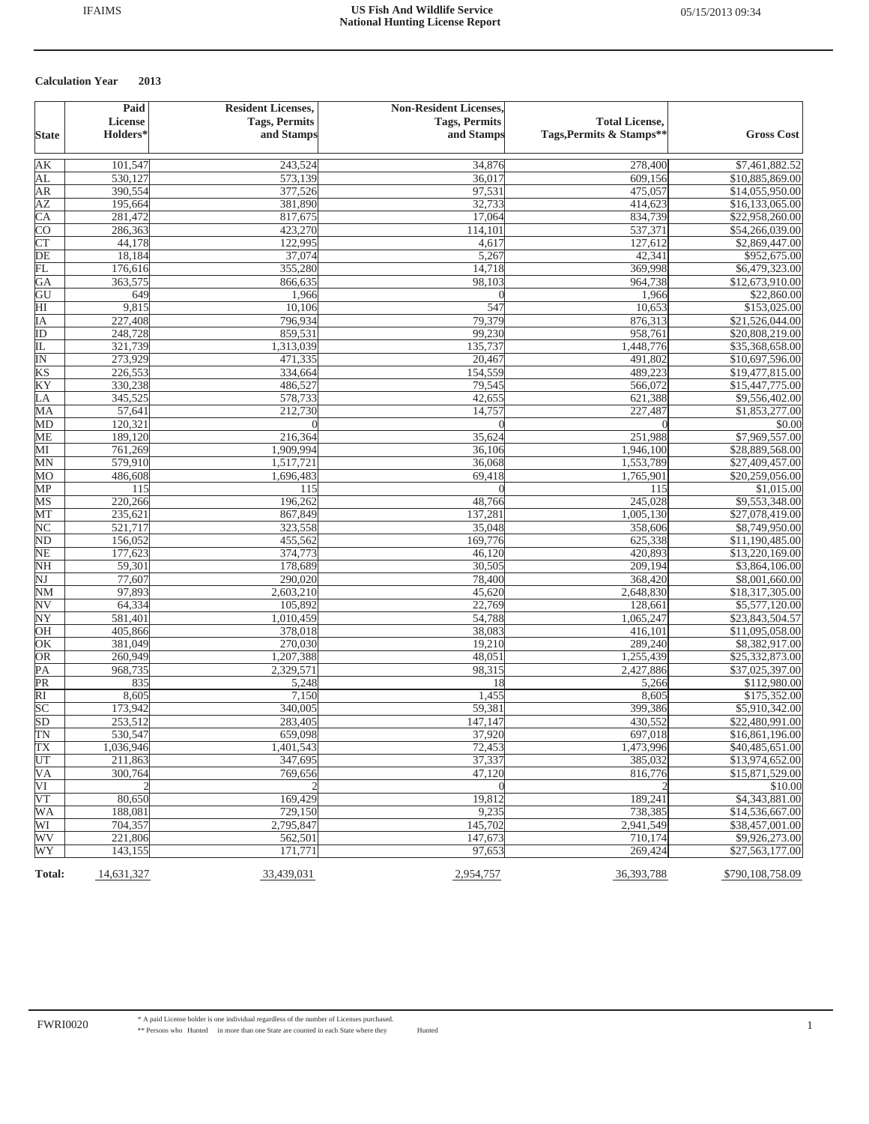|                                                  | Paid                 | <b>Resident Licenses,</b> | <b>Non-Resident Licenses,</b> |                          |                                   |
|--------------------------------------------------|----------------------|---------------------------|-------------------------------|--------------------------|-----------------------------------|
|                                                  | <b>License</b>       | <b>Tags, Permits</b>      | <b>Tags, Permits</b>          | <b>Total License,</b>    |                                   |
| <b>State</b>                                     | Holders <sup>*</sup> | and Stamps                | and Stamps                    | Tags, Permits & Stamps** | <b>Gross Cost</b>                 |
| AК                                               | 101,547              | 243,524                   | 34,876                        | 278,400                  | \$7,461,882.52                    |
| AL                                               | 530,127              | 573,139                   | 36,017                        | 609,156                  | \$10,885,869.00                   |
| AR                                               | 390,554              | 377,526                   | 97,531                        | 475,057                  | \$14,055,950.00                   |
| <b>AZ</b>                                        | 195,664              | 381,890                   | 32,733                        | 414,623                  | \$16,133,065.00                   |
| $\overline{\text{CA}}$                           | 281,472              | 817,675                   | 17,064                        | 834,739                  | \$22,958,260.00                   |
| <b>CO</b>                                        | 286,363              | 423,270                   | 114,101                       | 537,371                  | \$54,266,039.00                   |
| CT                                               | 44,178               | 122,995                   | 4,617                         | 127,612                  | \$2,869,447.00                    |
| DE                                               | 18,184               | 37,074                    | 5,267                         | 42,341                   | \$952,675.00                      |
| 冗                                                | 176,616              | 355,280                   | 14,718                        | 369,998                  | \$6,479,323.00                    |
| GA                                               | 363,575              | 866,635                   | 98,103                        | 964,738                  | \$12,673,910.00                   |
| GU                                               | 649                  | 1,966                     | $\Omega$                      | 1,966                    | \$22,860.00                       |
| $\overline{\mathrm{HI}}$                         | 9,815                | 10,106                    | 547                           | 10,653                   | \$153,025.00                      |
| IA                                               | 227,408              | 796,934                   | 79,379                        | 876,313                  | \$21,526,044.00                   |
| $\overline{ID}$                                  | 248,728              | 859,531                   | 99,230                        | 958,761                  | \$20,808,219.00                   |
| 正                                                | 321,739              | 1,313,039                 | 135,737                       | 1,448,776                | \$35,368,658.00                   |
| $\overline{\mathbb{N}}$                          | 273,929              | 471,335                   | 20,467                        | 491,802                  | \$10,697,596.00                   |
| KS                                               | 226,553              | 334,664                   | 154,559                       | 489,223                  | \$19,477,815.00                   |
| KY                                               | 330,238              | 486,527                   | 79,545                        | 566,072                  | \$15,447,775.00                   |
| LA                                               | 345,525              | 578,733                   | 42,655                        | 621,388                  | \$9,556,402.00                    |
| MA                                               | 57,641               | 212,730                   | 14,757                        | 227,487                  | \$1,853,277.00                    |
| MD                                               | 120,321              |                           | $\Omega$                      |                          | \$0.00                            |
| <b>ME</b>                                        | 189,120              | 216,364                   | 35,624                        | 251,988                  | \$7,969,557.00                    |
| МI                                               | 761,269              | 1,909,994                 | 36,106                        | 1,946,100                | \$28,889,568.00                   |
| MN                                               | 579,910              | 1,517,721                 | 36,068                        | 1,553,789                | \$27,409,457.00                   |
| MO                                               | 486,608              | 1,696,483                 | 69,418                        | 1,765,901                | \$20,259,056.00                   |
| MP                                               | 115                  | 115                       | $\theta$                      | 115                      | \$1,015.00                        |
| MS                                               | 220,266              | 196,262                   | 48,766                        | 245,028                  | \$9,553,348.00                    |
| MT                                               | 235,621              | 867,849                   | 137,281                       | 1,005,130                | \$27,078,419.00                   |
| $\overline{\text{NC}}$                           | 521,717              | 323,558                   | 35,048                        | 358,606                  | \$8,749,950.00                    |
| $\overline{\text{ND}}$                           | 156,052              | 455,562                   | 169,776                       | 625,338                  | \$11,190,485.00                   |
| $\overline{\text{NE}}$                           | 177,623              | 374,773                   | 46,120                        | 420,893                  | \$13,220,169.00                   |
| <b>NH</b>                                        | 59,301               | 178,689                   | 30,505                        | 209,194                  | \$3,864,106.00                    |
| $\overline{\text{NJ}}$<br>$\overline{\text{NM}}$ | 77,607               | 290,020                   | 78,400                        | 368,420                  | \$8,001,660.00                    |
| $\overline{\textrm{NV}}$                         | 97,893<br>64,334     | 2,603,210<br>105,892      | 45,620<br>22,769              | 2,648,830<br>128,661     | \$18,317,305.00<br>\$5,577,120.00 |
| NY                                               | 581,401              | 1,010,459                 |                               | 1,065,247                | \$23,843,504.57                   |
| OH                                               | 405,866              | 378,018                   | 54,788<br>38,083              | 416,101                  | \$11,095,058.00                   |
| OK                                               | 381,049              | 270,030                   | 19,210                        | 289,240                  | \$8,382,917.00                    |
| OR                                               | 260,949              | 1,207,388                 | 48,051                        | 1,255,439                | \$25,332,873.00                   |
| $\overline{PA}$                                  | 968,735              | 2,329,571                 | 98,315                        | 2,427,886                | \$37,025,397.00                   |
| PR                                               | 835                  | 5,248                     | 18                            | 5,266                    | \$112,980.00                      |
| $\overline{RI}$                                  | 8,605                | 7,150                     | 1,455                         | 8,605                    | \$175,352.00                      |
| $\overline{SC}$                                  | 173,942              | 340,005                   | 59,381                        | 399,386                  | \$5,910,342.00                    |
| $\overline{SD}$                                  | 253,512              | 283,405                   | 147,147                       | 430,552                  | \$22,480,991.00                   |
| $\overline{\text{TN}}$                           | 530,547              | 659,098                   | 37,920                        | 697,018                  | \$16,861,196.00                   |
| TX                                               | 1,036,946            | 1,401,543                 | 72,453                        | 1,473,996                | \$40,485,651.00                   |
| UT                                               | 211,863              | 347,695                   | 37,337                        | 385,032                  | \$13,974,652.00                   |
| VA                                               | 300,764              | 769,656                   | 47,120                        | 816,776                  | \$15,871,529.00                   |
| VI                                               |                      |                           |                               |                          | \$10.00                           |
| VT                                               | 80,650               | 169,429                   | 19,812                        | 189,241                  | \$4,343,881.00                    |
| <b>WA</b>                                        | 188,081              | 729,150                   | 9,235                         | 738,385                  | \$14,536,667.00                   |
| WI                                               | 704,357              | 2,795,847                 | 145,702                       | 2,941,549                | \$38,457,001.00                   |
| WV                                               | 221,806              | 562,501                   | 147,673                       | 710,174                  | \$9,926,273.00                    |
| WY                                               | 143,155              | 171,771                   | 97,653                        | 269,424                  | \$27,563,177.00                   |
| Total:                                           | 14,631,327           | 33,439,031                | 2,954,757                     | 36,393,788               | \$790,108,758.09                  |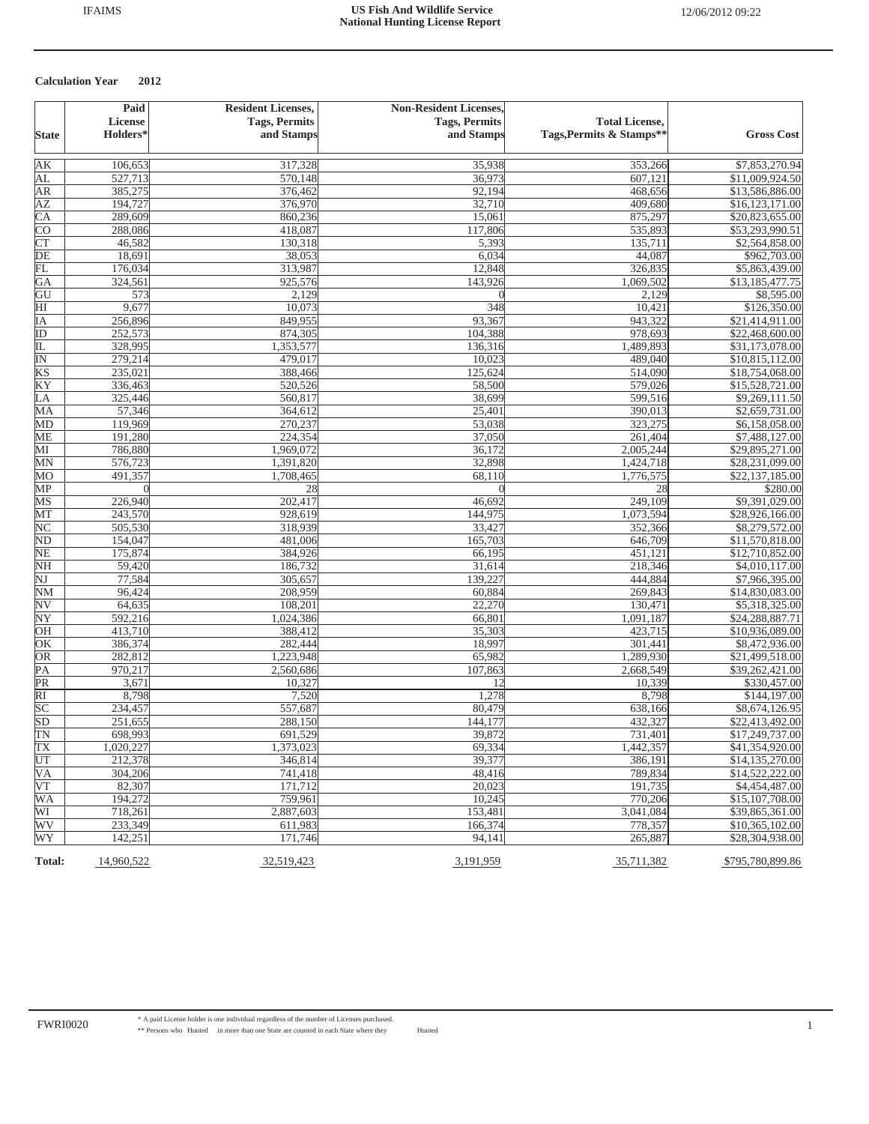| <b>Tags, Permits</b><br><b>Tags, Permits</b><br>License<br><b>Holders*</b><br>Tags, Permits & Stamps**<br>and Stamps<br>and Stamps<br><b>State</b><br>AK<br>317,328<br>\$7,853,270.94<br>106,653<br>35,938<br>353,266<br>570,148<br>AL<br>527,713<br>36,973<br>607,121<br>\$11,009,924.50<br><b>AR</b><br>385,275<br>376,462<br>92,194<br>468,656<br>\$13,586,886.00<br>ΑZ<br>194,727<br>376,970<br>32,710<br>409,680<br>\$16,123,171.00<br>$\overline{\text{CA}}$<br>860,236<br>875,297<br>289,609<br>15,061<br>\$20,823,655.00<br><b>CO</b><br>288,086<br>418,087<br>117,806<br>535,893<br>\$53,293,990.51<br>$\overline{\text{CT}}$<br>135,711<br>\$2,564,858.00<br>46,582<br>130,318<br>5,393<br>$\overline{DE}$<br>18,691<br>38,053<br>6,034<br>44,087<br>FL<br>313,987<br>326,835<br>176,034<br>12,848<br>GA<br>324,561<br>925,576<br>143,926<br>1,069,502<br>\$8,595.00<br>GU<br>573<br>2,129<br>2,129<br>$\Omega$<br>9,677<br>10,073<br>348<br>\$126,350.00<br>$\overline{\rm HI}$<br>10,421<br>849,955<br>93,367<br>943,322<br>ĪΑ<br>256,896<br>ID<br>252,573<br>874,305<br>104,388<br>978,693<br>IL<br>328,995<br>1,353,577<br>136,316<br>1,489,893<br>ΙN<br>279,214<br>479,017<br>10,023<br>489,040<br>KS<br>235,021<br>388,466<br>125,624<br>514,090<br>\$18,754,068.00<br>KY<br>520,526<br>58,500<br>579,026<br>336,463<br>325,446<br>560,817<br>38,699<br>599,516<br>LA<br>57,346<br>364,612<br>25,401<br>390,013<br>\$2,659,731.00<br>MA<br>270,237<br>MD<br>119,969<br>53,038<br>323,275<br>\$6,158,058.00<br>191,280<br>224,354<br>37,050<br>261,404<br>ME<br>\$7,488,127.00<br>1,969,072<br>2,005,244<br>МI<br>786,880<br>36,172<br>\$29,895,271.00<br>576,723<br>1,391,820<br>32,898<br>1,424,718<br>\$28,231,099.00<br>MN<br>1,776,575<br>\$22,137,185.00<br>MO<br>491,357<br>1,708,465<br>68,110<br>MP<br>28<br>\$280.00<br>28<br>$\theta$<br>202,417<br>\$9,391,029.00<br>226,940<br>46,692<br>249,109<br>MS<br>243,570<br>144,975<br>1,073,594<br>MT<br>928,619<br>\$28,926,166.00<br>318,939<br>NC<br>505,530<br>33,427<br>352,366<br>\$8,279,572.00<br>ND<br>154,047<br>481,006<br>165,703<br>646,709<br>\$11,570,818.00<br>NE<br>175,874<br>384,926<br>451,121<br>66,195<br>\$12,710,852.00<br><b>NH</b><br>186,732<br>31,614<br>218,346<br>\$4,010,117.00<br>59,420<br>$\overline{\text{NJ}}$<br>77,584<br>305,657<br>139,227<br>444,884<br>\$7,966,395.00<br>$NM$<br>96,424<br>208,959<br>269,843<br>60,884<br>\$14,830,083.00<br>$\overline{\textrm{NV}}$<br>64,635<br>108,201<br>22,270<br>130,471<br>\$5,318,325.00<br>$\overline{\text{NY}}$<br>592,216<br>1,024,386<br>1,091,187<br>\$24,288,887.71<br>66,801<br>OH<br>413,710<br>388,412<br>35,303<br>423,715<br>\$10,936,089.00<br>386,374<br>282,444<br>18,997<br>301,441<br>\$8,472,936.00<br>OK<br>282,812<br>1,223,948<br>65,982<br>\$21,499,518.00<br>OR<br>1,289,930<br>$\overline{PA}$<br>970,217<br>2,668,549<br>\$39,262,421.00<br>2,560,686<br>107,863<br>PR<br>3,671<br>10,327<br>10,339<br>\$330,457.00<br>12<br>$\overline{RI}$<br>8,798<br>7,520<br>1,278<br>8,798<br>\$144,197.00<br>SC<br>234,457<br>557,687<br>80,479<br>638,166<br>\$8,674,126.95<br>SD<br>432,327<br>251,655<br>288,150<br>144,177<br>\$22,413,492.00<br>TN<br>698,993<br>691,529<br>39,872<br>731,401<br>\$17,249,737.00<br>TX<br>1,020,227<br>1,373,023<br>69,334<br>1,442,357<br>\$41,354,920.00<br>UT<br>39,377<br>212,378<br>346,814<br>386,191<br>\$14,135,270.00<br>VA<br>304,206<br>741,418<br>48,416<br>789,834<br>\$14,522,222.00<br>VT<br>82,307<br>20,023<br>191,735<br>171,712<br>\$4,454,487.00<br>WA<br>194,272<br>759,961<br>10,245<br>770,206<br>\$15,107,708.00<br>WI<br>718,261<br>153,481<br>3,041,084<br>2,887,603<br>\$39,865,361.00<br>WV<br>233,349<br>778,357<br>611,983<br>166,374<br>\$10,365,102.00<br>WY<br>142,251<br>171,746<br>94,141<br>265,887<br>\$28,304,938.00<br>32,519,423<br>Total:<br>14,960,522<br>3,191,959<br>35,711,382<br>\$795,780,899.86 | Paid | <b>Resident Licenses,</b> | <b>Non-Resident Licenses,</b> |                       |                   |
|----------------------------------------------------------------------------------------------------------------------------------------------------------------------------------------------------------------------------------------------------------------------------------------------------------------------------------------------------------------------------------------------------------------------------------------------------------------------------------------------------------------------------------------------------------------------------------------------------------------------------------------------------------------------------------------------------------------------------------------------------------------------------------------------------------------------------------------------------------------------------------------------------------------------------------------------------------------------------------------------------------------------------------------------------------------------------------------------------------------------------------------------------------------------------------------------------------------------------------------------------------------------------------------------------------------------------------------------------------------------------------------------------------------------------------------------------------------------------------------------------------------------------------------------------------------------------------------------------------------------------------------------------------------------------------------------------------------------------------------------------------------------------------------------------------------------------------------------------------------------------------------------------------------------------------------------------------------------------------------------------------------------------------------------------------------------------------------------------------------------------------------------------------------------------------------------------------------------------------------------------------------------------------------------------------------------------------------------------------------------------------------------------------------------------------------------------------------------------------------------------------------------------------------------------------------------------------------------------------------------------------------------------------------------------------------------------------------------------------------------------------------------------------------------------------------------------------------------------------------------------------------------------------------------------------------------------------------------------------------------------------------------------------------------------------------------------------------------------------------------------------------------------------------------------------------------------------------------------------------------------------------------------------------------------------------------------------------------------------------------------------------------------------------------------------------------------------------------------------------------------------------------------------------------------------------------------------------------------------------------------------------------------------------------------------------------------------------------------------------------------------------------------------------------------------------------------------------------------------------------------------------------------------------------------------------------------------------|------|---------------------------|-------------------------------|-----------------------|-------------------|
|                                                                                                                                                                                                                                                                                                                                                                                                                                                                                                                                                                                                                                                                                                                                                                                                                                                                                                                                                                                                                                                                                                                                                                                                                                                                                                                                                                                                                                                                                                                                                                                                                                                                                                                                                                                                                                                                                                                                                                                                                                                                                                                                                                                                                                                                                                                                                                                                                                                                                                                                                                                                                                                                                                                                                                                                                                                                                                                                                                                                                                                                                                                                                                                                                                                                                                                                                                                                                                                                                                                                                                                                                                                                                                                                                                                                                                                                                                                                                                |      |                           |                               | <b>Total License,</b> |                   |
|                                                                                                                                                                                                                                                                                                                                                                                                                                                                                                                                                                                                                                                                                                                                                                                                                                                                                                                                                                                                                                                                                                                                                                                                                                                                                                                                                                                                                                                                                                                                                                                                                                                                                                                                                                                                                                                                                                                                                                                                                                                                                                                                                                                                                                                                                                                                                                                                                                                                                                                                                                                                                                                                                                                                                                                                                                                                                                                                                                                                                                                                                                                                                                                                                                                                                                                                                                                                                                                                                                                                                                                                                                                                                                                                                                                                                                                                                                                                                                |      |                           |                               |                       | <b>Gross Cost</b> |
|                                                                                                                                                                                                                                                                                                                                                                                                                                                                                                                                                                                                                                                                                                                                                                                                                                                                                                                                                                                                                                                                                                                                                                                                                                                                                                                                                                                                                                                                                                                                                                                                                                                                                                                                                                                                                                                                                                                                                                                                                                                                                                                                                                                                                                                                                                                                                                                                                                                                                                                                                                                                                                                                                                                                                                                                                                                                                                                                                                                                                                                                                                                                                                                                                                                                                                                                                                                                                                                                                                                                                                                                                                                                                                                                                                                                                                                                                                                                                                |      |                           |                               |                       |                   |
|                                                                                                                                                                                                                                                                                                                                                                                                                                                                                                                                                                                                                                                                                                                                                                                                                                                                                                                                                                                                                                                                                                                                                                                                                                                                                                                                                                                                                                                                                                                                                                                                                                                                                                                                                                                                                                                                                                                                                                                                                                                                                                                                                                                                                                                                                                                                                                                                                                                                                                                                                                                                                                                                                                                                                                                                                                                                                                                                                                                                                                                                                                                                                                                                                                                                                                                                                                                                                                                                                                                                                                                                                                                                                                                                                                                                                                                                                                                                                                |      |                           |                               |                       |                   |
|                                                                                                                                                                                                                                                                                                                                                                                                                                                                                                                                                                                                                                                                                                                                                                                                                                                                                                                                                                                                                                                                                                                                                                                                                                                                                                                                                                                                                                                                                                                                                                                                                                                                                                                                                                                                                                                                                                                                                                                                                                                                                                                                                                                                                                                                                                                                                                                                                                                                                                                                                                                                                                                                                                                                                                                                                                                                                                                                                                                                                                                                                                                                                                                                                                                                                                                                                                                                                                                                                                                                                                                                                                                                                                                                                                                                                                                                                                                                                                |      |                           |                               |                       |                   |
|                                                                                                                                                                                                                                                                                                                                                                                                                                                                                                                                                                                                                                                                                                                                                                                                                                                                                                                                                                                                                                                                                                                                                                                                                                                                                                                                                                                                                                                                                                                                                                                                                                                                                                                                                                                                                                                                                                                                                                                                                                                                                                                                                                                                                                                                                                                                                                                                                                                                                                                                                                                                                                                                                                                                                                                                                                                                                                                                                                                                                                                                                                                                                                                                                                                                                                                                                                                                                                                                                                                                                                                                                                                                                                                                                                                                                                                                                                                                                                |      |                           |                               |                       |                   |
|                                                                                                                                                                                                                                                                                                                                                                                                                                                                                                                                                                                                                                                                                                                                                                                                                                                                                                                                                                                                                                                                                                                                                                                                                                                                                                                                                                                                                                                                                                                                                                                                                                                                                                                                                                                                                                                                                                                                                                                                                                                                                                                                                                                                                                                                                                                                                                                                                                                                                                                                                                                                                                                                                                                                                                                                                                                                                                                                                                                                                                                                                                                                                                                                                                                                                                                                                                                                                                                                                                                                                                                                                                                                                                                                                                                                                                                                                                                                                                |      |                           |                               |                       |                   |
|                                                                                                                                                                                                                                                                                                                                                                                                                                                                                                                                                                                                                                                                                                                                                                                                                                                                                                                                                                                                                                                                                                                                                                                                                                                                                                                                                                                                                                                                                                                                                                                                                                                                                                                                                                                                                                                                                                                                                                                                                                                                                                                                                                                                                                                                                                                                                                                                                                                                                                                                                                                                                                                                                                                                                                                                                                                                                                                                                                                                                                                                                                                                                                                                                                                                                                                                                                                                                                                                                                                                                                                                                                                                                                                                                                                                                                                                                                                                                                |      |                           |                               |                       |                   |
|                                                                                                                                                                                                                                                                                                                                                                                                                                                                                                                                                                                                                                                                                                                                                                                                                                                                                                                                                                                                                                                                                                                                                                                                                                                                                                                                                                                                                                                                                                                                                                                                                                                                                                                                                                                                                                                                                                                                                                                                                                                                                                                                                                                                                                                                                                                                                                                                                                                                                                                                                                                                                                                                                                                                                                                                                                                                                                                                                                                                                                                                                                                                                                                                                                                                                                                                                                                                                                                                                                                                                                                                                                                                                                                                                                                                                                                                                                                                                                |      |                           |                               |                       |                   |
|                                                                                                                                                                                                                                                                                                                                                                                                                                                                                                                                                                                                                                                                                                                                                                                                                                                                                                                                                                                                                                                                                                                                                                                                                                                                                                                                                                                                                                                                                                                                                                                                                                                                                                                                                                                                                                                                                                                                                                                                                                                                                                                                                                                                                                                                                                                                                                                                                                                                                                                                                                                                                                                                                                                                                                                                                                                                                                                                                                                                                                                                                                                                                                                                                                                                                                                                                                                                                                                                                                                                                                                                                                                                                                                                                                                                                                                                                                                                                                |      |                           |                               |                       | \$962,703.00      |
|                                                                                                                                                                                                                                                                                                                                                                                                                                                                                                                                                                                                                                                                                                                                                                                                                                                                                                                                                                                                                                                                                                                                                                                                                                                                                                                                                                                                                                                                                                                                                                                                                                                                                                                                                                                                                                                                                                                                                                                                                                                                                                                                                                                                                                                                                                                                                                                                                                                                                                                                                                                                                                                                                                                                                                                                                                                                                                                                                                                                                                                                                                                                                                                                                                                                                                                                                                                                                                                                                                                                                                                                                                                                                                                                                                                                                                                                                                                                                                |      |                           |                               |                       | \$5,863,439.00    |
|                                                                                                                                                                                                                                                                                                                                                                                                                                                                                                                                                                                                                                                                                                                                                                                                                                                                                                                                                                                                                                                                                                                                                                                                                                                                                                                                                                                                                                                                                                                                                                                                                                                                                                                                                                                                                                                                                                                                                                                                                                                                                                                                                                                                                                                                                                                                                                                                                                                                                                                                                                                                                                                                                                                                                                                                                                                                                                                                                                                                                                                                                                                                                                                                                                                                                                                                                                                                                                                                                                                                                                                                                                                                                                                                                                                                                                                                                                                                                                |      |                           |                               |                       | \$13,185,477.75   |
|                                                                                                                                                                                                                                                                                                                                                                                                                                                                                                                                                                                                                                                                                                                                                                                                                                                                                                                                                                                                                                                                                                                                                                                                                                                                                                                                                                                                                                                                                                                                                                                                                                                                                                                                                                                                                                                                                                                                                                                                                                                                                                                                                                                                                                                                                                                                                                                                                                                                                                                                                                                                                                                                                                                                                                                                                                                                                                                                                                                                                                                                                                                                                                                                                                                                                                                                                                                                                                                                                                                                                                                                                                                                                                                                                                                                                                                                                                                                                                |      |                           |                               |                       |                   |
|                                                                                                                                                                                                                                                                                                                                                                                                                                                                                                                                                                                                                                                                                                                                                                                                                                                                                                                                                                                                                                                                                                                                                                                                                                                                                                                                                                                                                                                                                                                                                                                                                                                                                                                                                                                                                                                                                                                                                                                                                                                                                                                                                                                                                                                                                                                                                                                                                                                                                                                                                                                                                                                                                                                                                                                                                                                                                                                                                                                                                                                                                                                                                                                                                                                                                                                                                                                                                                                                                                                                                                                                                                                                                                                                                                                                                                                                                                                                                                |      |                           |                               |                       |                   |
|                                                                                                                                                                                                                                                                                                                                                                                                                                                                                                                                                                                                                                                                                                                                                                                                                                                                                                                                                                                                                                                                                                                                                                                                                                                                                                                                                                                                                                                                                                                                                                                                                                                                                                                                                                                                                                                                                                                                                                                                                                                                                                                                                                                                                                                                                                                                                                                                                                                                                                                                                                                                                                                                                                                                                                                                                                                                                                                                                                                                                                                                                                                                                                                                                                                                                                                                                                                                                                                                                                                                                                                                                                                                                                                                                                                                                                                                                                                                                                |      |                           |                               |                       | \$21,414,911.00   |
|                                                                                                                                                                                                                                                                                                                                                                                                                                                                                                                                                                                                                                                                                                                                                                                                                                                                                                                                                                                                                                                                                                                                                                                                                                                                                                                                                                                                                                                                                                                                                                                                                                                                                                                                                                                                                                                                                                                                                                                                                                                                                                                                                                                                                                                                                                                                                                                                                                                                                                                                                                                                                                                                                                                                                                                                                                                                                                                                                                                                                                                                                                                                                                                                                                                                                                                                                                                                                                                                                                                                                                                                                                                                                                                                                                                                                                                                                                                                                                |      |                           |                               |                       | \$22,468,600.00   |
|                                                                                                                                                                                                                                                                                                                                                                                                                                                                                                                                                                                                                                                                                                                                                                                                                                                                                                                                                                                                                                                                                                                                                                                                                                                                                                                                                                                                                                                                                                                                                                                                                                                                                                                                                                                                                                                                                                                                                                                                                                                                                                                                                                                                                                                                                                                                                                                                                                                                                                                                                                                                                                                                                                                                                                                                                                                                                                                                                                                                                                                                                                                                                                                                                                                                                                                                                                                                                                                                                                                                                                                                                                                                                                                                                                                                                                                                                                                                                                |      |                           |                               |                       | \$31,173,078.00   |
|                                                                                                                                                                                                                                                                                                                                                                                                                                                                                                                                                                                                                                                                                                                                                                                                                                                                                                                                                                                                                                                                                                                                                                                                                                                                                                                                                                                                                                                                                                                                                                                                                                                                                                                                                                                                                                                                                                                                                                                                                                                                                                                                                                                                                                                                                                                                                                                                                                                                                                                                                                                                                                                                                                                                                                                                                                                                                                                                                                                                                                                                                                                                                                                                                                                                                                                                                                                                                                                                                                                                                                                                                                                                                                                                                                                                                                                                                                                                                                |      |                           |                               |                       | \$10,815,112.00   |
|                                                                                                                                                                                                                                                                                                                                                                                                                                                                                                                                                                                                                                                                                                                                                                                                                                                                                                                                                                                                                                                                                                                                                                                                                                                                                                                                                                                                                                                                                                                                                                                                                                                                                                                                                                                                                                                                                                                                                                                                                                                                                                                                                                                                                                                                                                                                                                                                                                                                                                                                                                                                                                                                                                                                                                                                                                                                                                                                                                                                                                                                                                                                                                                                                                                                                                                                                                                                                                                                                                                                                                                                                                                                                                                                                                                                                                                                                                                                                                |      |                           |                               |                       |                   |
|                                                                                                                                                                                                                                                                                                                                                                                                                                                                                                                                                                                                                                                                                                                                                                                                                                                                                                                                                                                                                                                                                                                                                                                                                                                                                                                                                                                                                                                                                                                                                                                                                                                                                                                                                                                                                                                                                                                                                                                                                                                                                                                                                                                                                                                                                                                                                                                                                                                                                                                                                                                                                                                                                                                                                                                                                                                                                                                                                                                                                                                                                                                                                                                                                                                                                                                                                                                                                                                                                                                                                                                                                                                                                                                                                                                                                                                                                                                                                                |      |                           |                               |                       | \$15,528,721.00   |
|                                                                                                                                                                                                                                                                                                                                                                                                                                                                                                                                                                                                                                                                                                                                                                                                                                                                                                                                                                                                                                                                                                                                                                                                                                                                                                                                                                                                                                                                                                                                                                                                                                                                                                                                                                                                                                                                                                                                                                                                                                                                                                                                                                                                                                                                                                                                                                                                                                                                                                                                                                                                                                                                                                                                                                                                                                                                                                                                                                                                                                                                                                                                                                                                                                                                                                                                                                                                                                                                                                                                                                                                                                                                                                                                                                                                                                                                                                                                                                |      |                           |                               |                       | \$9,269,111.50    |
|                                                                                                                                                                                                                                                                                                                                                                                                                                                                                                                                                                                                                                                                                                                                                                                                                                                                                                                                                                                                                                                                                                                                                                                                                                                                                                                                                                                                                                                                                                                                                                                                                                                                                                                                                                                                                                                                                                                                                                                                                                                                                                                                                                                                                                                                                                                                                                                                                                                                                                                                                                                                                                                                                                                                                                                                                                                                                                                                                                                                                                                                                                                                                                                                                                                                                                                                                                                                                                                                                                                                                                                                                                                                                                                                                                                                                                                                                                                                                                |      |                           |                               |                       |                   |
|                                                                                                                                                                                                                                                                                                                                                                                                                                                                                                                                                                                                                                                                                                                                                                                                                                                                                                                                                                                                                                                                                                                                                                                                                                                                                                                                                                                                                                                                                                                                                                                                                                                                                                                                                                                                                                                                                                                                                                                                                                                                                                                                                                                                                                                                                                                                                                                                                                                                                                                                                                                                                                                                                                                                                                                                                                                                                                                                                                                                                                                                                                                                                                                                                                                                                                                                                                                                                                                                                                                                                                                                                                                                                                                                                                                                                                                                                                                                                                |      |                           |                               |                       |                   |
|                                                                                                                                                                                                                                                                                                                                                                                                                                                                                                                                                                                                                                                                                                                                                                                                                                                                                                                                                                                                                                                                                                                                                                                                                                                                                                                                                                                                                                                                                                                                                                                                                                                                                                                                                                                                                                                                                                                                                                                                                                                                                                                                                                                                                                                                                                                                                                                                                                                                                                                                                                                                                                                                                                                                                                                                                                                                                                                                                                                                                                                                                                                                                                                                                                                                                                                                                                                                                                                                                                                                                                                                                                                                                                                                                                                                                                                                                                                                                                |      |                           |                               |                       |                   |
|                                                                                                                                                                                                                                                                                                                                                                                                                                                                                                                                                                                                                                                                                                                                                                                                                                                                                                                                                                                                                                                                                                                                                                                                                                                                                                                                                                                                                                                                                                                                                                                                                                                                                                                                                                                                                                                                                                                                                                                                                                                                                                                                                                                                                                                                                                                                                                                                                                                                                                                                                                                                                                                                                                                                                                                                                                                                                                                                                                                                                                                                                                                                                                                                                                                                                                                                                                                                                                                                                                                                                                                                                                                                                                                                                                                                                                                                                                                                                                |      |                           |                               |                       |                   |
|                                                                                                                                                                                                                                                                                                                                                                                                                                                                                                                                                                                                                                                                                                                                                                                                                                                                                                                                                                                                                                                                                                                                                                                                                                                                                                                                                                                                                                                                                                                                                                                                                                                                                                                                                                                                                                                                                                                                                                                                                                                                                                                                                                                                                                                                                                                                                                                                                                                                                                                                                                                                                                                                                                                                                                                                                                                                                                                                                                                                                                                                                                                                                                                                                                                                                                                                                                                                                                                                                                                                                                                                                                                                                                                                                                                                                                                                                                                                                                |      |                           |                               |                       |                   |
|                                                                                                                                                                                                                                                                                                                                                                                                                                                                                                                                                                                                                                                                                                                                                                                                                                                                                                                                                                                                                                                                                                                                                                                                                                                                                                                                                                                                                                                                                                                                                                                                                                                                                                                                                                                                                                                                                                                                                                                                                                                                                                                                                                                                                                                                                                                                                                                                                                                                                                                                                                                                                                                                                                                                                                                                                                                                                                                                                                                                                                                                                                                                                                                                                                                                                                                                                                                                                                                                                                                                                                                                                                                                                                                                                                                                                                                                                                                                                                |      |                           |                               |                       |                   |
|                                                                                                                                                                                                                                                                                                                                                                                                                                                                                                                                                                                                                                                                                                                                                                                                                                                                                                                                                                                                                                                                                                                                                                                                                                                                                                                                                                                                                                                                                                                                                                                                                                                                                                                                                                                                                                                                                                                                                                                                                                                                                                                                                                                                                                                                                                                                                                                                                                                                                                                                                                                                                                                                                                                                                                                                                                                                                                                                                                                                                                                                                                                                                                                                                                                                                                                                                                                                                                                                                                                                                                                                                                                                                                                                                                                                                                                                                                                                                                |      |                           |                               |                       |                   |
|                                                                                                                                                                                                                                                                                                                                                                                                                                                                                                                                                                                                                                                                                                                                                                                                                                                                                                                                                                                                                                                                                                                                                                                                                                                                                                                                                                                                                                                                                                                                                                                                                                                                                                                                                                                                                                                                                                                                                                                                                                                                                                                                                                                                                                                                                                                                                                                                                                                                                                                                                                                                                                                                                                                                                                                                                                                                                                                                                                                                                                                                                                                                                                                                                                                                                                                                                                                                                                                                                                                                                                                                                                                                                                                                                                                                                                                                                                                                                                |      |                           |                               |                       |                   |
|                                                                                                                                                                                                                                                                                                                                                                                                                                                                                                                                                                                                                                                                                                                                                                                                                                                                                                                                                                                                                                                                                                                                                                                                                                                                                                                                                                                                                                                                                                                                                                                                                                                                                                                                                                                                                                                                                                                                                                                                                                                                                                                                                                                                                                                                                                                                                                                                                                                                                                                                                                                                                                                                                                                                                                                                                                                                                                                                                                                                                                                                                                                                                                                                                                                                                                                                                                                                                                                                                                                                                                                                                                                                                                                                                                                                                                                                                                                                                                |      |                           |                               |                       |                   |
|                                                                                                                                                                                                                                                                                                                                                                                                                                                                                                                                                                                                                                                                                                                                                                                                                                                                                                                                                                                                                                                                                                                                                                                                                                                                                                                                                                                                                                                                                                                                                                                                                                                                                                                                                                                                                                                                                                                                                                                                                                                                                                                                                                                                                                                                                                                                                                                                                                                                                                                                                                                                                                                                                                                                                                                                                                                                                                                                                                                                                                                                                                                                                                                                                                                                                                                                                                                                                                                                                                                                                                                                                                                                                                                                                                                                                                                                                                                                                                |      |                           |                               |                       |                   |
|                                                                                                                                                                                                                                                                                                                                                                                                                                                                                                                                                                                                                                                                                                                                                                                                                                                                                                                                                                                                                                                                                                                                                                                                                                                                                                                                                                                                                                                                                                                                                                                                                                                                                                                                                                                                                                                                                                                                                                                                                                                                                                                                                                                                                                                                                                                                                                                                                                                                                                                                                                                                                                                                                                                                                                                                                                                                                                                                                                                                                                                                                                                                                                                                                                                                                                                                                                                                                                                                                                                                                                                                                                                                                                                                                                                                                                                                                                                                                                |      |                           |                               |                       |                   |
|                                                                                                                                                                                                                                                                                                                                                                                                                                                                                                                                                                                                                                                                                                                                                                                                                                                                                                                                                                                                                                                                                                                                                                                                                                                                                                                                                                                                                                                                                                                                                                                                                                                                                                                                                                                                                                                                                                                                                                                                                                                                                                                                                                                                                                                                                                                                                                                                                                                                                                                                                                                                                                                                                                                                                                                                                                                                                                                                                                                                                                                                                                                                                                                                                                                                                                                                                                                                                                                                                                                                                                                                                                                                                                                                                                                                                                                                                                                                                                |      |                           |                               |                       |                   |
|                                                                                                                                                                                                                                                                                                                                                                                                                                                                                                                                                                                                                                                                                                                                                                                                                                                                                                                                                                                                                                                                                                                                                                                                                                                                                                                                                                                                                                                                                                                                                                                                                                                                                                                                                                                                                                                                                                                                                                                                                                                                                                                                                                                                                                                                                                                                                                                                                                                                                                                                                                                                                                                                                                                                                                                                                                                                                                                                                                                                                                                                                                                                                                                                                                                                                                                                                                                                                                                                                                                                                                                                                                                                                                                                                                                                                                                                                                                                                                |      |                           |                               |                       |                   |
|                                                                                                                                                                                                                                                                                                                                                                                                                                                                                                                                                                                                                                                                                                                                                                                                                                                                                                                                                                                                                                                                                                                                                                                                                                                                                                                                                                                                                                                                                                                                                                                                                                                                                                                                                                                                                                                                                                                                                                                                                                                                                                                                                                                                                                                                                                                                                                                                                                                                                                                                                                                                                                                                                                                                                                                                                                                                                                                                                                                                                                                                                                                                                                                                                                                                                                                                                                                                                                                                                                                                                                                                                                                                                                                                                                                                                                                                                                                                                                |      |                           |                               |                       |                   |
|                                                                                                                                                                                                                                                                                                                                                                                                                                                                                                                                                                                                                                                                                                                                                                                                                                                                                                                                                                                                                                                                                                                                                                                                                                                                                                                                                                                                                                                                                                                                                                                                                                                                                                                                                                                                                                                                                                                                                                                                                                                                                                                                                                                                                                                                                                                                                                                                                                                                                                                                                                                                                                                                                                                                                                                                                                                                                                                                                                                                                                                                                                                                                                                                                                                                                                                                                                                                                                                                                                                                                                                                                                                                                                                                                                                                                                                                                                                                                                |      |                           |                               |                       |                   |
|                                                                                                                                                                                                                                                                                                                                                                                                                                                                                                                                                                                                                                                                                                                                                                                                                                                                                                                                                                                                                                                                                                                                                                                                                                                                                                                                                                                                                                                                                                                                                                                                                                                                                                                                                                                                                                                                                                                                                                                                                                                                                                                                                                                                                                                                                                                                                                                                                                                                                                                                                                                                                                                                                                                                                                                                                                                                                                                                                                                                                                                                                                                                                                                                                                                                                                                                                                                                                                                                                                                                                                                                                                                                                                                                                                                                                                                                                                                                                                |      |                           |                               |                       |                   |
|                                                                                                                                                                                                                                                                                                                                                                                                                                                                                                                                                                                                                                                                                                                                                                                                                                                                                                                                                                                                                                                                                                                                                                                                                                                                                                                                                                                                                                                                                                                                                                                                                                                                                                                                                                                                                                                                                                                                                                                                                                                                                                                                                                                                                                                                                                                                                                                                                                                                                                                                                                                                                                                                                                                                                                                                                                                                                                                                                                                                                                                                                                                                                                                                                                                                                                                                                                                                                                                                                                                                                                                                                                                                                                                                                                                                                                                                                                                                                                |      |                           |                               |                       |                   |
|                                                                                                                                                                                                                                                                                                                                                                                                                                                                                                                                                                                                                                                                                                                                                                                                                                                                                                                                                                                                                                                                                                                                                                                                                                                                                                                                                                                                                                                                                                                                                                                                                                                                                                                                                                                                                                                                                                                                                                                                                                                                                                                                                                                                                                                                                                                                                                                                                                                                                                                                                                                                                                                                                                                                                                                                                                                                                                                                                                                                                                                                                                                                                                                                                                                                                                                                                                                                                                                                                                                                                                                                                                                                                                                                                                                                                                                                                                                                                                |      |                           |                               |                       |                   |
|                                                                                                                                                                                                                                                                                                                                                                                                                                                                                                                                                                                                                                                                                                                                                                                                                                                                                                                                                                                                                                                                                                                                                                                                                                                                                                                                                                                                                                                                                                                                                                                                                                                                                                                                                                                                                                                                                                                                                                                                                                                                                                                                                                                                                                                                                                                                                                                                                                                                                                                                                                                                                                                                                                                                                                                                                                                                                                                                                                                                                                                                                                                                                                                                                                                                                                                                                                                                                                                                                                                                                                                                                                                                                                                                                                                                                                                                                                                                                                |      |                           |                               |                       |                   |
|                                                                                                                                                                                                                                                                                                                                                                                                                                                                                                                                                                                                                                                                                                                                                                                                                                                                                                                                                                                                                                                                                                                                                                                                                                                                                                                                                                                                                                                                                                                                                                                                                                                                                                                                                                                                                                                                                                                                                                                                                                                                                                                                                                                                                                                                                                                                                                                                                                                                                                                                                                                                                                                                                                                                                                                                                                                                                                                                                                                                                                                                                                                                                                                                                                                                                                                                                                                                                                                                                                                                                                                                                                                                                                                                                                                                                                                                                                                                                                |      |                           |                               |                       |                   |
|                                                                                                                                                                                                                                                                                                                                                                                                                                                                                                                                                                                                                                                                                                                                                                                                                                                                                                                                                                                                                                                                                                                                                                                                                                                                                                                                                                                                                                                                                                                                                                                                                                                                                                                                                                                                                                                                                                                                                                                                                                                                                                                                                                                                                                                                                                                                                                                                                                                                                                                                                                                                                                                                                                                                                                                                                                                                                                                                                                                                                                                                                                                                                                                                                                                                                                                                                                                                                                                                                                                                                                                                                                                                                                                                                                                                                                                                                                                                                                |      |                           |                               |                       |                   |
|                                                                                                                                                                                                                                                                                                                                                                                                                                                                                                                                                                                                                                                                                                                                                                                                                                                                                                                                                                                                                                                                                                                                                                                                                                                                                                                                                                                                                                                                                                                                                                                                                                                                                                                                                                                                                                                                                                                                                                                                                                                                                                                                                                                                                                                                                                                                                                                                                                                                                                                                                                                                                                                                                                                                                                                                                                                                                                                                                                                                                                                                                                                                                                                                                                                                                                                                                                                                                                                                                                                                                                                                                                                                                                                                                                                                                                                                                                                                                                |      |                           |                               |                       |                   |
|                                                                                                                                                                                                                                                                                                                                                                                                                                                                                                                                                                                                                                                                                                                                                                                                                                                                                                                                                                                                                                                                                                                                                                                                                                                                                                                                                                                                                                                                                                                                                                                                                                                                                                                                                                                                                                                                                                                                                                                                                                                                                                                                                                                                                                                                                                                                                                                                                                                                                                                                                                                                                                                                                                                                                                                                                                                                                                                                                                                                                                                                                                                                                                                                                                                                                                                                                                                                                                                                                                                                                                                                                                                                                                                                                                                                                                                                                                                                                                |      |                           |                               |                       |                   |
|                                                                                                                                                                                                                                                                                                                                                                                                                                                                                                                                                                                                                                                                                                                                                                                                                                                                                                                                                                                                                                                                                                                                                                                                                                                                                                                                                                                                                                                                                                                                                                                                                                                                                                                                                                                                                                                                                                                                                                                                                                                                                                                                                                                                                                                                                                                                                                                                                                                                                                                                                                                                                                                                                                                                                                                                                                                                                                                                                                                                                                                                                                                                                                                                                                                                                                                                                                                                                                                                                                                                                                                                                                                                                                                                                                                                                                                                                                                                                                |      |                           |                               |                       |                   |
|                                                                                                                                                                                                                                                                                                                                                                                                                                                                                                                                                                                                                                                                                                                                                                                                                                                                                                                                                                                                                                                                                                                                                                                                                                                                                                                                                                                                                                                                                                                                                                                                                                                                                                                                                                                                                                                                                                                                                                                                                                                                                                                                                                                                                                                                                                                                                                                                                                                                                                                                                                                                                                                                                                                                                                                                                                                                                                                                                                                                                                                                                                                                                                                                                                                                                                                                                                                                                                                                                                                                                                                                                                                                                                                                                                                                                                                                                                                                                                |      |                           |                               |                       |                   |
|                                                                                                                                                                                                                                                                                                                                                                                                                                                                                                                                                                                                                                                                                                                                                                                                                                                                                                                                                                                                                                                                                                                                                                                                                                                                                                                                                                                                                                                                                                                                                                                                                                                                                                                                                                                                                                                                                                                                                                                                                                                                                                                                                                                                                                                                                                                                                                                                                                                                                                                                                                                                                                                                                                                                                                                                                                                                                                                                                                                                                                                                                                                                                                                                                                                                                                                                                                                                                                                                                                                                                                                                                                                                                                                                                                                                                                                                                                                                                                |      |                           |                               |                       |                   |
|                                                                                                                                                                                                                                                                                                                                                                                                                                                                                                                                                                                                                                                                                                                                                                                                                                                                                                                                                                                                                                                                                                                                                                                                                                                                                                                                                                                                                                                                                                                                                                                                                                                                                                                                                                                                                                                                                                                                                                                                                                                                                                                                                                                                                                                                                                                                                                                                                                                                                                                                                                                                                                                                                                                                                                                                                                                                                                                                                                                                                                                                                                                                                                                                                                                                                                                                                                                                                                                                                                                                                                                                                                                                                                                                                                                                                                                                                                                                                                |      |                           |                               |                       |                   |
|                                                                                                                                                                                                                                                                                                                                                                                                                                                                                                                                                                                                                                                                                                                                                                                                                                                                                                                                                                                                                                                                                                                                                                                                                                                                                                                                                                                                                                                                                                                                                                                                                                                                                                                                                                                                                                                                                                                                                                                                                                                                                                                                                                                                                                                                                                                                                                                                                                                                                                                                                                                                                                                                                                                                                                                                                                                                                                                                                                                                                                                                                                                                                                                                                                                                                                                                                                                                                                                                                                                                                                                                                                                                                                                                                                                                                                                                                                                                                                |      |                           |                               |                       |                   |
|                                                                                                                                                                                                                                                                                                                                                                                                                                                                                                                                                                                                                                                                                                                                                                                                                                                                                                                                                                                                                                                                                                                                                                                                                                                                                                                                                                                                                                                                                                                                                                                                                                                                                                                                                                                                                                                                                                                                                                                                                                                                                                                                                                                                                                                                                                                                                                                                                                                                                                                                                                                                                                                                                                                                                                                                                                                                                                                                                                                                                                                                                                                                                                                                                                                                                                                                                                                                                                                                                                                                                                                                                                                                                                                                                                                                                                                                                                                                                                |      |                           |                               |                       |                   |
|                                                                                                                                                                                                                                                                                                                                                                                                                                                                                                                                                                                                                                                                                                                                                                                                                                                                                                                                                                                                                                                                                                                                                                                                                                                                                                                                                                                                                                                                                                                                                                                                                                                                                                                                                                                                                                                                                                                                                                                                                                                                                                                                                                                                                                                                                                                                                                                                                                                                                                                                                                                                                                                                                                                                                                                                                                                                                                                                                                                                                                                                                                                                                                                                                                                                                                                                                                                                                                                                                                                                                                                                                                                                                                                                                                                                                                                                                                                                                                |      |                           |                               |                       |                   |
|                                                                                                                                                                                                                                                                                                                                                                                                                                                                                                                                                                                                                                                                                                                                                                                                                                                                                                                                                                                                                                                                                                                                                                                                                                                                                                                                                                                                                                                                                                                                                                                                                                                                                                                                                                                                                                                                                                                                                                                                                                                                                                                                                                                                                                                                                                                                                                                                                                                                                                                                                                                                                                                                                                                                                                                                                                                                                                                                                                                                                                                                                                                                                                                                                                                                                                                                                                                                                                                                                                                                                                                                                                                                                                                                                                                                                                                                                                                                                                |      |                           |                               |                       |                   |
|                                                                                                                                                                                                                                                                                                                                                                                                                                                                                                                                                                                                                                                                                                                                                                                                                                                                                                                                                                                                                                                                                                                                                                                                                                                                                                                                                                                                                                                                                                                                                                                                                                                                                                                                                                                                                                                                                                                                                                                                                                                                                                                                                                                                                                                                                                                                                                                                                                                                                                                                                                                                                                                                                                                                                                                                                                                                                                                                                                                                                                                                                                                                                                                                                                                                                                                                                                                                                                                                                                                                                                                                                                                                                                                                                                                                                                                                                                                                                                |      |                           |                               |                       |                   |
|                                                                                                                                                                                                                                                                                                                                                                                                                                                                                                                                                                                                                                                                                                                                                                                                                                                                                                                                                                                                                                                                                                                                                                                                                                                                                                                                                                                                                                                                                                                                                                                                                                                                                                                                                                                                                                                                                                                                                                                                                                                                                                                                                                                                                                                                                                                                                                                                                                                                                                                                                                                                                                                                                                                                                                                                                                                                                                                                                                                                                                                                                                                                                                                                                                                                                                                                                                                                                                                                                                                                                                                                                                                                                                                                                                                                                                                                                                                                                                |      |                           |                               |                       |                   |
|                                                                                                                                                                                                                                                                                                                                                                                                                                                                                                                                                                                                                                                                                                                                                                                                                                                                                                                                                                                                                                                                                                                                                                                                                                                                                                                                                                                                                                                                                                                                                                                                                                                                                                                                                                                                                                                                                                                                                                                                                                                                                                                                                                                                                                                                                                                                                                                                                                                                                                                                                                                                                                                                                                                                                                                                                                                                                                                                                                                                                                                                                                                                                                                                                                                                                                                                                                                                                                                                                                                                                                                                                                                                                                                                                                                                                                                                                                                                                                |      |                           |                               |                       |                   |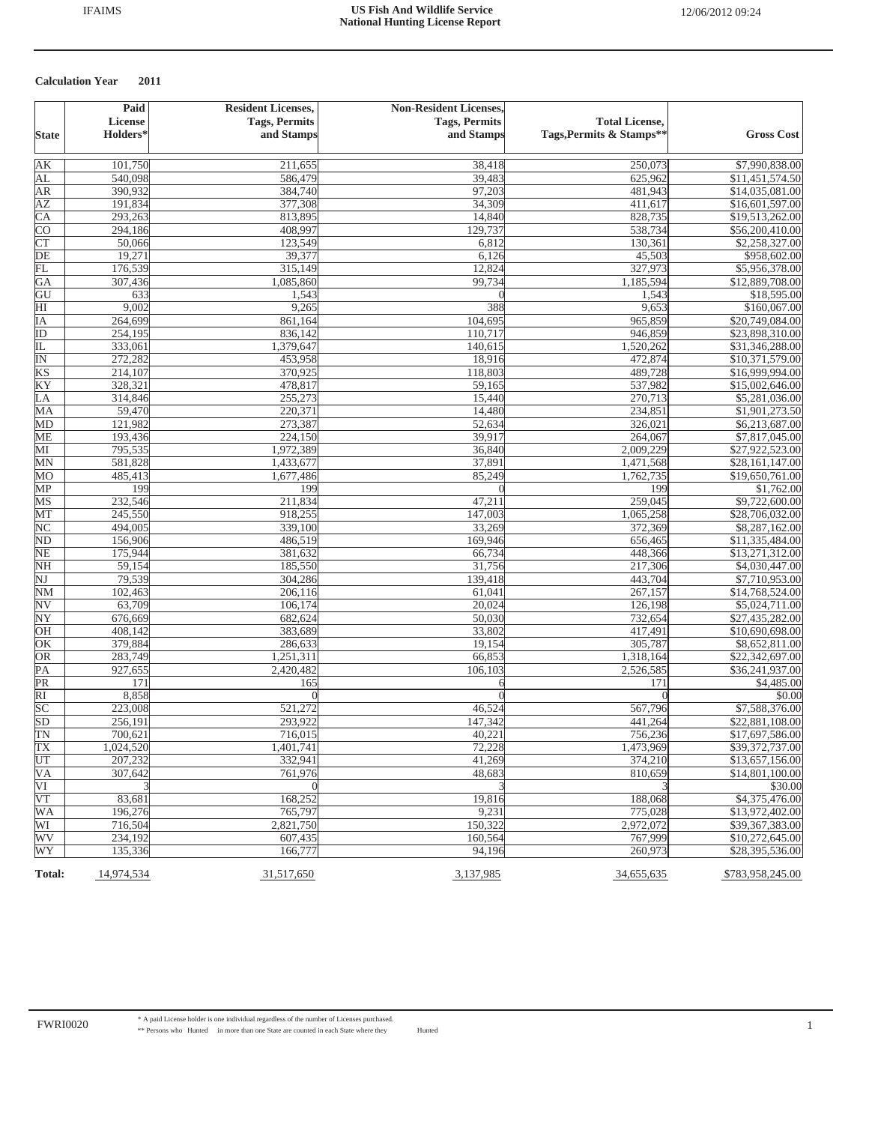|                        | Paid                              | <b>Resident Licenses,</b>          | <b>Non-Resident Licenses,</b> |                                                   |                                    |
|------------------------|-----------------------------------|------------------------------------|-------------------------------|---------------------------------------------------|------------------------------------|
|                        | <b>License</b><br><b>Holders*</b> | <b>Tags, Permits</b><br>and Stamps | <b>Tags, Permits</b>          | <b>Total License,</b><br>Tags, Permits & Stamps** |                                    |
| <b>State</b>           |                                   |                                    | and Stamps                    |                                                   | <b>Gross Cost</b>                  |
| AK                     | 101,750                           | 211,655                            | 38,418                        | 250,073                                           | \$7,990,838.00                     |
| AL                     | 540,098                           | 586,479                            | 39,483                        | 625,962                                           | \$11,451,574.50                    |
| <b>AR</b>              | 390,932                           | 384,740                            | 97,203                        | 481,943                                           | \$14,035,081.00                    |
| ΑZ                     | 191,834                           | 377,308                            | 34,309                        | 411,617                                           | \$16,601,597.00                    |
| $\overline{\text{CA}}$ | 293,263                           | 813,895                            | 14,840                        | 828,735                                           | \$19,513,262.00                    |
| <b>CO</b>              | 294,186                           | 408,997                            | 129,737                       | 538,734                                           | \$56,200,410.00                    |
| $\overline{\text{CT}}$ | 50,066                            | 123,549                            | 6,812                         | 130,361                                           | \$2,258,327.00                     |
| $\overline{DE}$        | 19,271                            | 39,377                             | 6,126                         | 45,503                                            | \$958,602.00                       |
| FL                     | 176,539                           | 315,149                            | 12,824                        | 327,973                                           | \$5,956,378.00                     |
| GA                     | 307,436                           | 1,085,860                          | 99,734                        | 1,185,594                                         | \$12,889,708.00                    |
| GU                     | 633                               | 1,543                              |                               | 1,543                                             | \$18,595.00                        |
| $\overline{\rm HI}$    | 9,002                             | 9,265                              | 388                           | 9,653                                             | \$160,067.00                       |
| ĪΑ                     | 264,699                           | 861,164                            | 104,695                       | 965,859                                           | \$20,749,084.00                    |
| ID                     | 254,195                           | 836,142                            | 110,717                       | 946,859                                           | \$23,898,310.00                    |
| IL                     | 333,061                           | 1,379,647                          | 140,615                       | 1,520,262                                         | \$31,346,288.00                    |
| ΙN                     | 272,282                           | 453,958                            | 18,916                        | 472,874                                           | \$10,371,579.00                    |
| KS                     | 214,107                           | 370,925<br>478,817                 | 118,803                       | 489,728                                           | \$16,999,994.00                    |
| KY                     | 328,321                           |                                    | 59,165                        | 537,982                                           | \$15,002,646.00                    |
| LA                     | 314,846                           | 255,273                            | 15,440                        | 270,713                                           | \$5,281,036.00                     |
| MA                     | 59,470<br>121,982                 | 220,371                            | 14,480                        | 234,851                                           | \$1,901,273.50                     |
| MD<br><b>ME</b>        | 193,436                           | 273,387<br>224,150                 | 52,634<br>39,917              | 326,021<br>264,067                                | \$6,213,687.00<br>\$7,817,045.00   |
| МI                     | 795,535                           | 1,972,389                          | 36,840                        | 2,009,229                                         | \$27,922,523.00                    |
| MN                     | 581,828                           | 1,433,677                          | 37,891                        | 1,471,568                                         | \$28,161,147.00                    |
| MO                     | 485,413                           | 1,677,486                          | 85,249                        | 1,762,735                                         | \$19,650,761.00                    |
| MP                     | 199                               | 199                                | $\theta$                      | 199                                               | \$1,762.00                         |
| MS                     | 232,546                           | 211,834                            | 47,211                        | 259,045                                           | \$9,722,600.00                     |
| MТ                     | 245,550                           | 918,255                            | 147,003                       | 1,065,258                                         | \$28,706,032.00                    |
| NC                     | 494,005                           | 339,100                            | 33,269                        | 372,369                                           | \$8,287,162.00                     |
| ND                     | 156,906                           | 486,519                            | 169,946                       | 656,465                                           | \$11,335,484.00                    |
| NE                     | 175,944                           | 381,632                            | 66,734                        | 448,366                                           | \$13,271,312.00                    |
| <b>NH</b>              | 59,154                            | 185,550                            | 31,756                        | 217,306                                           | \$4,030,447.00                     |
| $\overline{\text{NJ}}$ | 79,539                            | 304,286                            | 139,418                       | 443,704                                           | \$7,710,953.00                     |
| $NM$                   | 102,463                           | 206,116                            | 61,041                        | 267,157                                           | \$14,768,524.00                    |
| N <sub>V</sub>         | 63,709                            | 106,174                            | 20,024                        | 126,198                                           | \$5,024,711.00                     |
| $\overline{\text{NY}}$ | 676,669                           | 682,624                            | $\overline{50,030}$           | 732,654                                           | \$27,435,282.00                    |
| OH                     | 408,142                           | 383,689                            | 33,802                        | 417,491                                           | \$10,690,698.00                    |
| OK                     | 379,884                           | 286,633                            | 19,154                        | 305,787                                           | \$8,652,811.00                     |
| OR                     | 283,749                           | 1,251,311                          | 66,853                        | 1,318,164                                         | \$22,342,697.00                    |
| $\overline{PA}$        | 927,655                           | 2,420,482                          | 106,103                       | 2,526,585                                         | \$36,241,937.00                    |
| PR                     | 171                               | 165                                | 6                             | 171                                               | \$4,485.00                         |
| $\overline{RI}$        | 8,858                             |                                    | $\Omega$                      | $\sqrt{ }$                                        | \$0.00                             |
| SC                     | 223,008                           | 521,272                            | 46,524                        | 567,796                                           | \$7,588,376.00                     |
| SD<br>TN               | 256,191<br>700,621                | 293,922<br>716,015                 | 147,342<br>40,221             | 441,264<br>756,236                                | \$22,881,108.00<br>\$17,697,586.00 |
| TX                     |                                   |                                    | 72,228                        | 1,473,969                                         | \$39,372,737.00                    |
| UT                     | 1,024,520<br>207,232              | 1,401,741<br>332,941               | 41,269                        | 374,210                                           | \$13,657,156.00                    |
| VA                     | 307,642                           | 761,976                            | 48,683                        | 810,659                                           | \$14,801,100.00                    |
| VI                     |                                   |                                    |                               |                                                   | \$30.00                            |
| $\overline{\text{VT}}$ | 83,681                            | 168,252                            | 19,816                        | 188,068                                           | \$4,375,476.00                     |
| WA                     | 196,276                           | 765,797                            | 9,231                         | 775,028                                           | \$13,972,402.00                    |
| WI                     | 716,504                           | 2,821,750                          | 150,322                       | 2,972,072                                         | \$39,367,383.00                    |
| WV                     | 234,192                           | 607,435                            | 160,564                       | 767,999                                           | \$10,272,645.00                    |
| WY                     | 135,336                           | 166,777                            | 94,196                        | 260,973                                           | \$28,395,536.00                    |
|                        |                                   |                                    |                               |                                                   |                                    |
| Total:                 | 14,974,534                        | 31,517,650                         | 3,137,985                     | 34,655,635                                        | \$783,958,245.00                   |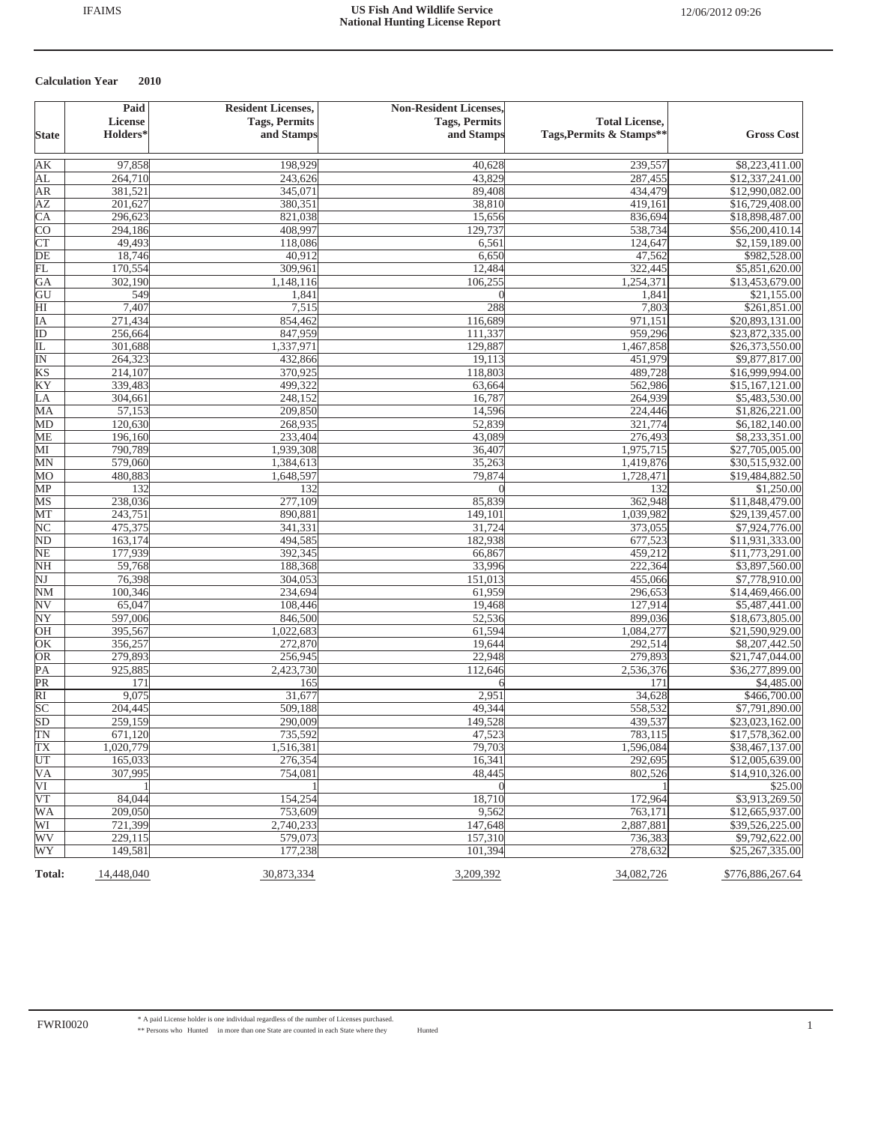|                              | Paid                 | <b>Resident Licenses,</b> | <b>Non-Resident Licenses,</b> |                          |                                    |
|------------------------------|----------------------|---------------------------|-------------------------------|--------------------------|------------------------------------|
|                              | <b>License</b>       | <b>Tags, Permits</b>      | <b>Tags, Permits</b>          | <b>Total License,</b>    |                                    |
| <b>State</b>                 | Holders <sup>*</sup> | and Stamps                | and Stamps                    | Tags, Permits & Stamps** | <b>Gross Cost</b>                  |
| AК                           | 97,858               | 198,929                   | 40,628                        | 239,557                  | \$8,223,411.00                     |
| AL                           | 264,710              | 243,626                   | 43,829                        | 287,455                  | \$12,337,241.00                    |
| AR                           | 381,521              | 345,071                   | 89,408                        | 434,479                  | \$12,990,082.00                    |
| <b>AZ</b>                    | 201,627              | 380,351                   | 38,810                        | 419,161                  | \$16,729,408.00                    |
| $\overline{\text{CA}}$       | 296,623              | 821,038                   | 15,656                        | 836,694                  | \$18,898,487.00                    |
| <b>CO</b>                    | 294,186              | 408,997                   | 129,737                       | 538,734                  | \$56,200,410.14                    |
| CT                           | 49,493               | 118,086                   | 6,561                         | 124,647                  | \$2,159,189.00                     |
| DE                           | 18,746               | 40,912                    | 6,650                         | 47,562                   | \$982,528.00                       |
| 冗                            | 170,554              | 309,961                   | 12,484                        | 322,445                  | \$5,851,620.00                     |
| GA                           | 302,190              | 1,148,116                 | 106,255                       | 1,254,371                | \$13,453,679.00                    |
| GU                           | 549                  | 1,841                     | $\Omega$                      | 1,841                    | \$21,155.00                        |
| HI                           | 7,407                | 7,515                     | 288                           | 7,803                    | \$261,851.00                       |
| IΑ                           | 271,434              | 854,462                   | 116,689                       | 971,151                  | \$20,893,131.00                    |
| ID                           | 256,664              | 847,959                   | 111,337                       | 959,296                  | \$23,872,335.00                    |
| 正                            | 301,688              | 1,337,971                 | 129,887                       | 1,467,858                | \$26,373,550.00                    |
| $\overline{\mathbb{N}}$      | 264,323              | 432,866                   | 19,113                        | 451,979                  | \$9,877,817.00                     |
| KS                           | 214,107              | 370,925                   | 118,803                       | 489,728                  | \$16,999,994.00                    |
| KY                           | 339,483              | 499,322                   | 63,664                        | 562,986                  | \$15,167,121.00                    |
| LA                           | 304,661              | 248,152                   | 16,787                        | 264,939                  | \$5,483,530.00                     |
| MA                           | 57,153               | 209,850                   | 14,596                        | 224,446                  | \$1,826,221.00                     |
| MD                           | 120,630              | 268,935                   | 52,839                        | 321,774                  | \$6,182,140.00                     |
| <b>ME</b>                    | 196,160              | 233,404                   | 43,089                        | 276,493                  | \$8,233,351.00                     |
| MI                           | 790,789              | 1,939,308                 | 36,407                        | 1,975,715                | \$27,705,005.00                    |
| MN                           | 579,060              | 1,384,613                 | 35,263                        | 1,419,876                | \$30,515,932.00                    |
| MO                           | 480,883              | 1,648,597                 | 79,874                        | 1,728,471                | \$19,484,882.50                    |
| MP                           | 132                  | 132                       | $\theta$                      | 132                      | \$1,250.00                         |
| MS                           | 238,036              | 277,109                   | 85,839                        | 362,948                  | \$11,848,479.00                    |
| MT                           | 243,751              | 890,881                   | 149,101                       | 1,039,982                | \$29,139,457.00                    |
| NC                           | 475,375              | 341,331                   | 31,724                        | 373,055                  | \$7,924,776.00                     |
| N <sub>D</sub>               | 163,174              | 494,585                   | 182,938                       | 677,523                  | \$11,931,333.00                    |
| $\overline{\text{NE}}$       | 177,939              | 392,345                   | 66,867                        | 459,212                  | \$11,773,291.00                    |
| NH<br>$\overline{\text{NJ}}$ | 59,768               | 188,368                   | 33,996                        | 222,364                  | \$3,897,560.00                     |
| $\overline{\text{NM}}$       | 76,398               | 304,053                   | 151,013                       | 455,066                  | \$7,778,910.00                     |
| $\overline{\textrm{NV}}$     | 100,346<br>65,047    | 234,694<br>108,446        | 61,959<br>19,468              | 296,653<br>127,914       | \$14,469,466.00                    |
|                              |                      |                           |                               |                          | \$5,487,441.00                     |
| NY<br>OH                     | 597,006<br>395,567   | 846,500<br>1,022,683      | 52,536<br>61,594              | 899,036<br>1,084,277     | \$18,673,805.00<br>\$21,590,929.00 |
| OK                           | 356,257              | 272,870                   | 19,644                        | 292,514                  | \$8,207,442.50                     |
| OR                           | 279,893              | 256,945                   | 22,948                        | 279,893                  | \$21,747,044.00                    |
| $\overline{PA}$              | 925,885              | 2,423,730                 | 112,646                       | 2,536,376                | \$36,277,899.00                    |
| $\overline{\text{PR}}$       | 171                  | 165                       |                               | 171                      | \$4,485.00                         |
| $\overline{RI}$              | 9,075                | 31,677                    | 2,951                         | 34,628                   | \$466,700.00                       |
| $\overline{SC}$              | 204,445              | 509,188                   | 49,344                        | 558,532                  | \$7,791,890.00                     |
| $\overline{SD}$              | 259,159              | 290,009                   | 149,528                       | 439,537                  | \$23,023,162.00                    |
| $\overline{TN}$              | 671,120              | 735,592                   | 47,523                        | 783,115                  | \$17,578,362.00                    |
| TX                           | 1,020,779            | 1,516,381                 | 79,703                        | 1,596,084                | \$38,467,137.00                    |
| UT                           | 165,033              | 276,354                   | 16,341                        | 292,695                  | \$12,005,639.00                    |
| VA                           | 307,995              | 754,081                   | 48,445                        | 802,526                  | \$14,910,326.00                    |
| VI                           |                      |                           | $\Omega$                      |                          | \$25.00                            |
| VT                           | 84,044               | 154,254                   | 18,710                        | 172,964                  | \$3,913,269.50                     |
| <b>WA</b>                    | 209,050              | 753,609                   | 9,562                         | 763,171                  | \$12,665,937.00                    |
| WI                           | 721,399              | 2,740,233                 | 147,648                       | 2,887,881                | \$39,526,225.00                    |
| WV                           | 229,115              | 579,073                   | 157,310                       | 736,383                  | \$9,792,622.00                     |
| WY                           | 149,581              | 177,238                   | 101,394                       | 278,632                  | \$25,267,335.00                    |
|                              |                      |                           |                               |                          |                                    |
| <b>Total:</b>                | 14,448,040           | 30,873,334                | 3,209,392                     | 34,082,726               | \$776,886,267.64                   |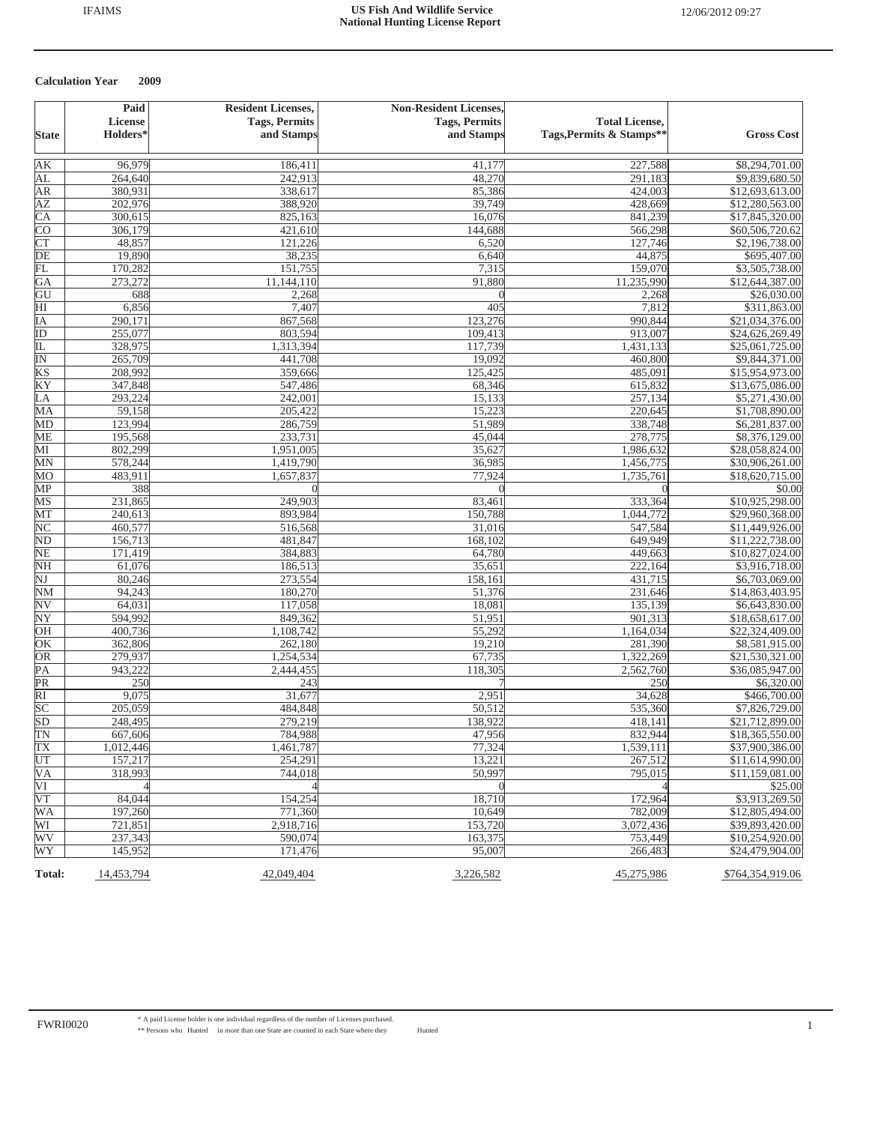|                          | Paid              | <b>Resident Licenses,</b> | <b>Non-Resident Licenses,</b> |                          |                                  |
|--------------------------|-------------------|---------------------------|-------------------------------|--------------------------|----------------------------------|
|                          | <b>License</b>    | <b>Tags, Permits</b>      | <b>Tags, Permits</b>          | <b>Total License,</b>    |                                  |
| <b>State</b>             | <b>Holders*</b>   | and Stamps                | and Stamps                    | Tags, Permits & Stamps** | <b>Gross Cost</b>                |
|                          |                   |                           |                               |                          |                                  |
| AК<br>AL                 | 96,979<br>264,640 | 186,411<br>242,913        | 41,177<br>48,270              | 227,588<br>291.183       | \$8,294,701.00<br>\$9,839,680.50 |
| AR                       | 380,931           | 338,617                   | 85,386                        | 424,003                  | \$12,693,613.00                  |
| <b>AZ</b>                | 202,976           | 388,920                   | 39,749                        | 428,669                  | \$12,280,563.00                  |
| CA                       | 300,615           | 825,163                   | 16,076                        | 841,239                  | \$17,845,320.00                  |
| <b>CO</b>                | 306,179           | 421,610                   | 144,688                       | 566,298                  | \$60,506,720.62                  |
| CT                       | 48,857            | 121,226                   | 6,520                         | 127,746                  | \$2,196,738.00                   |
| $\overline{DE}$          | 19,890            | 38,235                    | 6,640                         | 44,875                   | \$695,407.00                     |
| 冗                        | 170,282           | 151,755                   | 7,315                         | 159,070                  | \$3,505,738.00                   |
| GA                       | 273,272           | 11,144,110                | 91,880                        | 11,235,990               | \$12,644,387.00                  |
| GU                       | 688               | 2,268                     |                               | 2,268                    | \$26,030.00                      |
| $\overline{\mathrm{HI}}$ | 6,856             | 7,407                     | 405                           | 7,812                    | \$311,863.00                     |
| IΑ                       | 290,171           | 867,568                   | 123,276                       | 990,844                  | \$21,034,376.00                  |
| $\overline{ID}$          | 255,077           | 803,594                   | 109,413                       | 913,007                  | \$24,626,269.49                  |
| IL                       | 328,975           | 1,313,394                 | 117,739                       | 1,431,133                | \$25,061,725.00                  |
| $\overline{\mathbb{N}}$  | 265,709           | 441,708                   | 19,092                        | 460,800                  | \$9,844,371.00                   |
| KS                       | 208,992           | 359,666                   | 125,425                       | 485,091                  | \$15,954,973.00                  |
| KY                       | 347,848           | 547,486                   | 68,346                        | 615,832                  | \$13,675,086.00                  |
| LA                       | 293,224           | 242,001                   | 15,133                        | 257,134                  | \$5,271,430.00                   |
| MA                       | 59,158            | 205,422                   | 15,223                        | 220,645                  | \$1,708,890.00                   |
| MD                       | 123,994           | 286,759                   | 51,989                        | 338,748                  | \$6,281,837.00                   |
| <b>ME</b>                | 195,568           | 233,731                   | 45,044                        | 278,775                  | \$8,376,129.00                   |
| MІ                       | 802,299           | 1,951,005                 | 35,627                        | 1,986,632                | \$28,058,824.00                  |
| MN                       | 578,244           | 1,419,790                 | 36,985                        | 1,456,775                | \$30,906,261.00                  |
| MO                       | 483,911           | 1,657,837                 | 77,924                        | 1,735,761                | \$18,620,715.00                  |
| MP                       | 388               | $\Omega$                  | $\Omega$                      | $\theta$                 | \$0.00                           |
| MS                       | 231,865           | 249,903                   | 83,461                        | 333,364                  | \$10,925,298.00                  |
| MT                       | 240,613           | 893,984                   | 150,788                       | 1,044,772                | \$29,960,368.00                  |
| $\overline{\text{NC}}$   | 460,577           | 516,568                   | 31,016                        | 547,584                  | \$11,449,926.00                  |
| N <sub>D</sub>           | 156,713           | 481,847                   | 168,102                       | 649,949                  | \$11,222,738.00                  |
| $\overline{\text{NE}}$   | 171,419           | 384,883                   | 64,780                        | 449,663                  | \$10,827,024.00                  |
| <b>NH</b>                | 61,076            | 186,513                   | 35,651                        | 222,164                  | \$3,916,718.00                   |
| $\overline{\text{NJ}}$   | 80,246            | 273,554                   | 158,161                       | 431,715                  | \$6,703,069.00                   |
| $\overline{\text{NM}}$   | 94,243            | 180,270                   | 51,376                        | 231,646                  | \$14,863,403.95                  |
| $\overline{\textrm{NV}}$ | 64,031            | 117,058                   | 18,081                        | 135,139                  | \$6,643,830.00                   |
| NY                       | 594,992           | 849,362                   | 51,951                        | 901,313                  | \$18,658,617.00                  |
| OH                       | 400,736           | 1,108,742                 | 55,292                        | 1,164,034                | \$22,324,409.00                  |
| OK                       | 362,806           | 262,180                   | 19,210                        | 281,390                  | \$8,581,915.00                   |
| OR                       | 279,937           | 1,254,534                 | 67,735                        | 1,322,269                | \$21,530,321.00                  |
| PA                       | 943,222           | 2,444,455                 | 118,305                       | 2,562,760                | \$36,085,947.00                  |
| PR                       | 250               | 243                       |                               | 250                      | \$6,320.00                       |
| $\overline{RI}$          | 9,075             | 31,677                    | 2,951                         | 34,628                   | \$466,700.00                     |
| SC                       | 205,059           | 484,848                   | 50,512                        | 535,360                  | \$7,826,729.00                   |
| $\overline{SD}$          | 248,495           | 279,219                   | 138,922                       | 418,141                  | \$21,712,899.00                  |
| $\overline{\text{TN}}$   | 667,606           | 784,988                   | 47,956                        | 832,944                  | \$18,365,550.00                  |
| TX                       | 1,012,446         | 1,461,787                 | 77,324                        | 1,539,111                | \$37,900,386.00                  |
| UT                       | 157,217           | 254,291                   | 13,221                        | 267,512                  | \$11,614,990.00                  |
| VA                       | 318,993           | 744,018                   | 50,997                        | 795,015                  | \$11,159,081.00                  |
| VI                       |                   |                           |                               |                          | \$25.00                          |
| $\overline{\text{VT}}$   | 84.044            | 154,254                   | 18,710                        | 172,964                  | \$3,913,269.50                   |
| <b>WA</b>                | 197,260           | 771,360                   | 10,649                        | 782,009                  | \$12,805,494.00                  |
| WI                       | 721,851           | 2,918,716                 | 153,720                       | 3,072,436                | \$39,893,420.00                  |
| WV                       | 237,343           | 590,074                   | 163,375                       | 753,449                  | \$10,254,920.00                  |
| WY                       | 145,952           | 171,476                   | 95,007                        | 266,483                  | \$24,479,904.00                  |
| Total:                   | 14,453,794        | 42,049,404                | 3,226,582                     | 45,275,986               | \$764,354,919.06                 |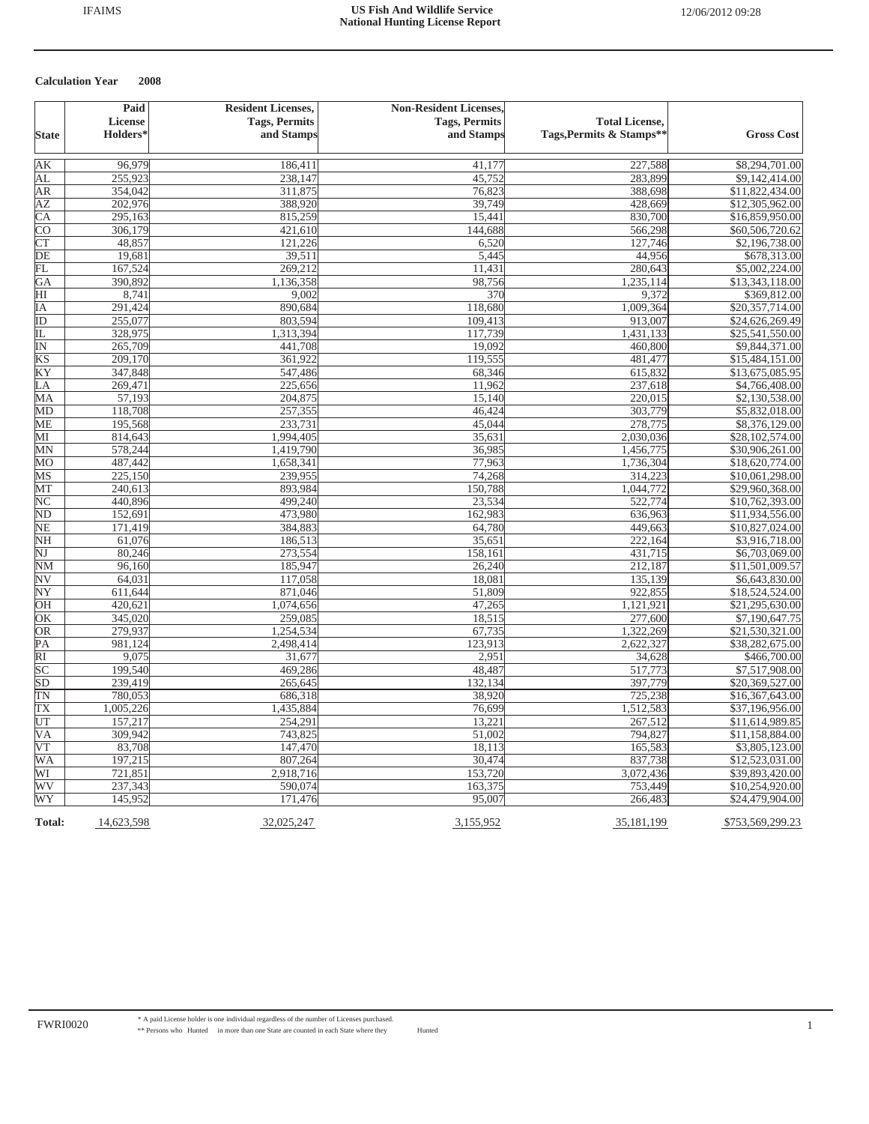|                        | Paid       | <b>Resident Licenses,</b> | <b>Non-Resident Licenses,</b> |                          |                   |
|------------------------|------------|---------------------------|-------------------------------|--------------------------|-------------------|
|                        | License    | <b>Tags, Permits</b>      | <b>Tags, Permits</b>          | <b>Total License,</b>    |                   |
| <b>State</b>           | Holders*   | and Stamps                | and Stamps                    | Tags, Permits & Stamps** | <b>Gross Cost</b> |
|                        |            |                           |                               |                          |                   |
| AK                     | 96,979     | 186,411                   | 41,177                        | 227,588                  | \$8,294,701.00    |
| AL                     | 255,923    | 238,147                   | 45,752                        | 283,899                  | \$9,142,414.00    |
| ΑR                     | 354,042    | 311,875                   | 76,823                        | 388,698                  | \$11,822,434.00   |
| ΑZ                     | 202,976    | 388,920                   | 39,749                        | 428,669                  | \$12,305,962.00   |
| СA                     | 295,163    | 815,259                   | 15,441                        | 830,700                  | \$16,859,950.00   |
| $\overline{\text{CO}}$ | 306,179    | 421,610                   | 144,688                       | 566,298                  | \$60,506,720.62   |
| <b>CT</b>              | 48,857     | 121,226                   | 6,520                         | 127,746                  | \$2,196,738.00    |
| DE                     | 19,681     | 39,511                    | 5,445                         | 44,956                   | \$678,313.00      |
| FL                     | 167,524    | 269,212                   | 11,431                        | 280,643                  | \$5,002,224.00    |
| GA                     | 390,892    | 1,136,358                 | 98,756                        | 1,235,114                | \$13,343,118.00   |
| HI                     | 8,741      | 9,002                     | 370                           | 9,372                    | \$369,812.00      |
| IΑ                     | 291,424    | 890,684                   | 118,680                       | 1,009,364                | \$20,357,714.00   |
| ID                     | 255,077    | 803,594                   | 109,413                       | 913,007                  | \$24,626,269.49   |
| IL                     | 328,975    | 1,313,394                 | 117,739                       | 1,431,133                | \$25,541,550.00   |
| $\overline{\text{IN}}$ | 265,709    | 441,708                   | 19,092                        | 460,800                  | \$9,844,371.00    |
| KS                     | 209,170    | 361,922                   | 119,555                       | 481,477                  | \$15,484,151.00   |
| ΚY                     | 347,848    | 547,486                   | 68,346                        | 615,832                  | \$13,675,085.95   |
| LA                     | 269,471    | 225,656                   | 11,962                        | 237,618                  | \$4,766,408.00    |
| MА                     | 57,193     | 204,875                   | 15,140                        | 220,015                  | \$2,130,538.00    |
| MD                     | 118,708    | 257,355                   | 46,424                        | 303,779                  | \$5,832,018.00    |
| ME                     | 195,568    | 233,731                   | 45,044                        | 278,775                  | \$8,376,129.00    |
| 'М                     | 814,643    | 1,994,405                 | 35,631                        | 2,030,036                | \$28,102,574.00   |
| MN                     | 578,244    | 1,419,790                 | 36,985                        | 1,456,775                | \$30,906,261.00   |
| MO                     | 487,442    | 1,658,341                 | 77,963                        | 1,736,304                | \$18,620,774.00   |
| MS                     | 225,150    | 239,955                   | 74,268                        | 314,223                  | \$10,061,298.00   |
| MТ                     | 240,613    | 893,984                   | 150,788                       | 1,044,772                | \$29,960,368.00   |
| NC                     | 440,896    | 499,240                   | 23,534                        | 522,774                  | \$10,762,393.00   |
| ND                     | 152,691    | 473,980                   | 162,983                       | 636,963                  | \$11,934,556.00   |
| NE                     | 171,419    | 384,883                   | 64,780                        | 449,663                  | \$10,827,024.00   |
| NΗ                     | 61.076     | 186,513                   | 35,651                        | 222,164                  | \$3,916,718.00    |
| NJ                     | 80,246     | 273,554                   | 158,161                       | 431,715                  | \$6,703,069.00    |
| NΜ                     | 96,160     | 185,947                   | 26,240                        | 212,187                  | \$11,501,009.57   |
| NV                     | 64,031     | 117,058                   | 18,081                        | 135,139                  | \$6,643,830.00    |
| $\overline{\text{NY}}$ | 611,644    | 871,046                   | 51,809                        | 922,855                  | \$18,524,524.00   |
| ОH                     | 420,621    | 1,074,656                 | 47,265                        | 1,121,921                | \$21,295,630.00   |
| OК                     | 345,020    | 259,085                   | 18,515                        | 277,600                  | \$7,190,647.75    |
| <b>OR</b>              | 279,937    | 1,254,534                 | 67,735                        | 1,322,269                | \$21,530,321.00   |
| PА                     | 981,124    | 2,498,414                 | 123,913                       | 2,622,327                | \$38,282,675.00   |
| $\overline{RI}$        | 9,075      | 31,677                    | 2,951                         | 34,628                   | \$466,700.00      |
| SC                     | 199,540    | 469,286                   | 48,487                        | 517,773                  | \$7,517,908.00    |
| $\overline{SD}$        | 239,419    | 265,645                   | 132,134                       | 397,779                  | \$20,369,527.00   |
| TΝ                     | 780,053    | 686,318                   | 38,920                        | 725,238                  | \$16,367,643.00   |
| TX                     | 1,005,226  | 1,435,884                 | 76,699                        | 1,512,583                | \$37,196,956.00   |
| UT                     | 157,217    | 254,291                   | 13,221                        | 267,512                  | \$11,614,989.85   |
| VА                     | 309,942    | 743,825                   | 51,002                        | 794,827                  | \$11,158,884.00   |
| VT                     | 83,708     | 147,470                   | 18,113                        | 165,583                  | \$3,805,123.00    |
| WA                     | 197,215    | 807,264                   | 30,474                        | 837,738                  | \$12,523,031.00   |
| WI                     | 721,851    | 2,918,716                 | 153,720                       | 3,072,436                | \$39,893,420.00   |
| WV                     | 237,343    | 590,074                   | 163,375                       | 753,449                  | \$10,254,920.00   |
| WY                     | 145,952    | 171,476                   | 95,007                        | 266,483                  | \$24,479,904.00   |
| <b>Total:</b>          | 14,623,598 | 32,025,247                | 3,155,952                     | 35,181,199               | \$753,569,299.23  |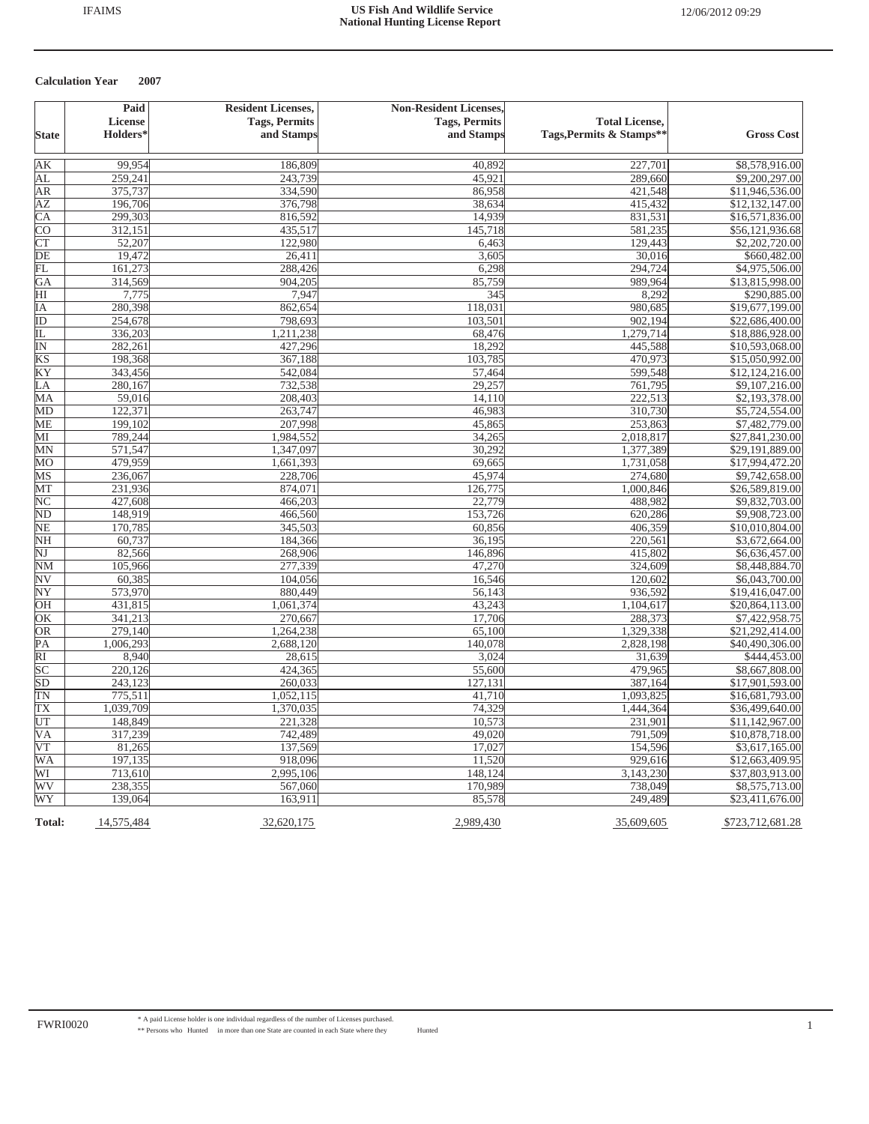|                        | Paid       | <b>Resident Licenses,</b> | <b>Non-Resident Licenses,</b> |                          |                            |
|------------------------|------------|---------------------------|-------------------------------|--------------------------|----------------------------|
|                        | License    | <b>Tags, Permits</b>      | <b>Tags, Permits</b>          | <b>Total License,</b>    |                            |
| <b>State</b>           | Holders*   | and Stamps                | and Stamps                    | Tags, Permits & Stamps** | <b>Gross Cost</b>          |
| lΑK                    | 99.954     | 186,809                   | 40,892                        | 227,701                  | \$8,578,916.00             |
| AL                     | 259,241    | 243,739                   | 45,921                        | 289,660                  | \$9,200,297.00             |
| ΑR                     | 375,737    | 334,590                   | 86,958                        | 421,548                  | \$11,946,536.00            |
| AΖ                     | 196,706    | 376,798                   | 38,634                        | 415,432                  | \$12,132,147.00            |
| СA                     | 299,303    | 816,592                   | 14,939                        | 831,531                  | \$16,571,836.00            |
| $\overline{\text{CO}}$ | 312,151    | 435,517                   | 145,718                       | 581,235                  | \$56,121,936.68            |
| <b>CT</b>              | 52,207     | 122,980                   | 6,463                         | 129,443                  | $\overline{$2,202,720.00}$ |
| DE                     | 19,472     | 26,411                    | 3,605                         | 30,016                   | \$660,482.00               |
| FL                     | 161,273    | 288,426                   | 6,298                         | 294,724                  | \$4,975,506.00             |
| GA                     | 314,569    | 904,205                   | 85,759                        | 989,964                  | \$13,815,998.00            |
| HI                     | 7,775      | 7,947                     | 345                           | 8,292                    | \$290,885.00               |
| IΑ                     | 280,398    | 862,654                   | 118,031                       | 980,685                  | \$19,677,199.00            |
| ID                     | 254,678    | 798,693                   | 103,501                       | 902,194                  | \$22,686,400.00            |
| IL                     | 336,203    | 1,211,238                 | 68,476                        | 1,279,714                | \$18,886,928.00            |
| IN                     | 282,261    | 427,296                   | 18,292                        | 445,588                  | \$10,593,068.00            |
| KS                     | 198,368    | 367,188                   | 103,785                       | 470,973                  | \$15,050,992.00            |
| ΚY                     | 343,456    | 542,084                   | 57,464                        | 599,548                  | \$12,124,216.00            |
| LA                     | 280,167    | 732,538                   | 29,257                        | 761,795                  | \$9,107,216.00             |
| MА                     | 59,016     | 208,403                   | 14,110                        | 222,513                  | \$2,193,378.00             |
| MD                     | 122,371    | 263,747                   | 46,983                        | 310,730                  | \$5,724,554.00             |
| МE                     | 199,102    | 207,998                   | 45,865                        | 253,863                  | \$7,482,779.00             |
| МI                     | 789,244    | 1,984,552                 | 34,265                        | 2,018,817                | \$27,841,230.00            |
| ΜN                     | 571,547    | 1,347,097                 | 30,292                        | 1,377,389                | \$29,191,889.00            |
| MО                     | 479,959    | 1,661,393                 | 69,665                        | 1,731,058                | \$17,994,472.20            |
| MS                     | 236,067    | 228,706                   | 45,974                        | 274,680                  | \$9,742,658.00             |
| MТ                     | 231,936    | 874,071                   | 126,775                       | 1,000,846                | \$26,589,819.00            |
| $_{\rm NC}$            | 427,608    | 466,203                   | 22,779                        | 488,982                  | \$9,832,703.00             |
| ND                     | 148,919    | 466,560                   | 153,726                       | 620,286                  | \$9,908,723.00             |
| NE                     | 170,785    | 345,503                   | 60,856                        | 406,359                  | \$10,010,804.00            |
| NΗ                     | 60,737     | 184,366                   | 36,195                        | 220,561                  | \$3,672,664.00             |
| NJ                     | 82,566     | 268,906                   | 146,896                       | 415,802                  | \$6,636,457.00             |
| NΜ                     | 105,966    | 277,339                   | 47,270                        | 324,609                  | \$8,448,884.70             |
| NV                     | 60,385     | 104,056                   | 16,546                        | 120,602                  | \$6,043,700.00             |
| $\overline{\text{NY}}$ | 573,970    | 880,449                   | 56,143                        | 936,592                  | \$19,416,047.00            |
| ΟH                     | 431,815    | 1,061,374                 | 43,243                        | 1,104,617                | \$20,864,113.00            |
| OК                     | 341,213    | 270,667                   | 17,706                        | 288,373                  | \$7,422,958.75             |
| OR                     | 279,140    | 1,264,238                 | 65,100                        | 1,329,338                | \$21,292,414.00            |
| PА                     | 1,006,293  | 2,688,120                 | 140,078                       | 2,828,198                | \$40,490,306.00            |
| RI                     | 8,940      | 28,615                    | 3,024                         | 31,639                   | \$444,453.00               |
| $\overline{SC}$        | 220,126    | 424,365                   | 55,600                        | 479,965                  | \$8,667,808.00             |
| SD                     | 243,123    | 260,033                   | 127,131                       | 387,164                  | \$17,901,593.00            |
| TΝ                     | 775,511    | 1,052,115                 | 41,710                        | 1,093,825                | \$16,681,793.00            |
| TX                     | 1,039,709  | 1,370,035                 | 74,329                        | 1,444,364                | \$36,499,640.00            |
| UT                     | 148,849    | 221,328                   | 10,573                        | 231,901                  | \$11,142,967.00            |
| VА                     | 317,239    | 742,489                   | 49,020                        | 791,509                  | \$10,878,718.00            |
| VT                     | 81,265     | 137,569                   | 17,027                        | 154,596                  | \$3,617,165.00             |
| WA                     | 197,135    | 918,096                   | 11,520                        | 929,616                  | \$12,663,409.95            |
| WI                     | 713,610    | 2,995,106                 | 148,124                       | 3,143,230                | \$37,803,913.00            |
| WV                     | 238,355    | 567,060                   | 170,989                       | 738,049                  | \$8,575,713.00             |
| WY                     | 139,064    | 163,911                   | 85,578                        | 249,489                  | \$23,411,676.00            |
| <b>Total:</b>          | 14,575,484 | 32,620,175                | 2,989,430                     | 35,609,605               | \$723,712,681.28           |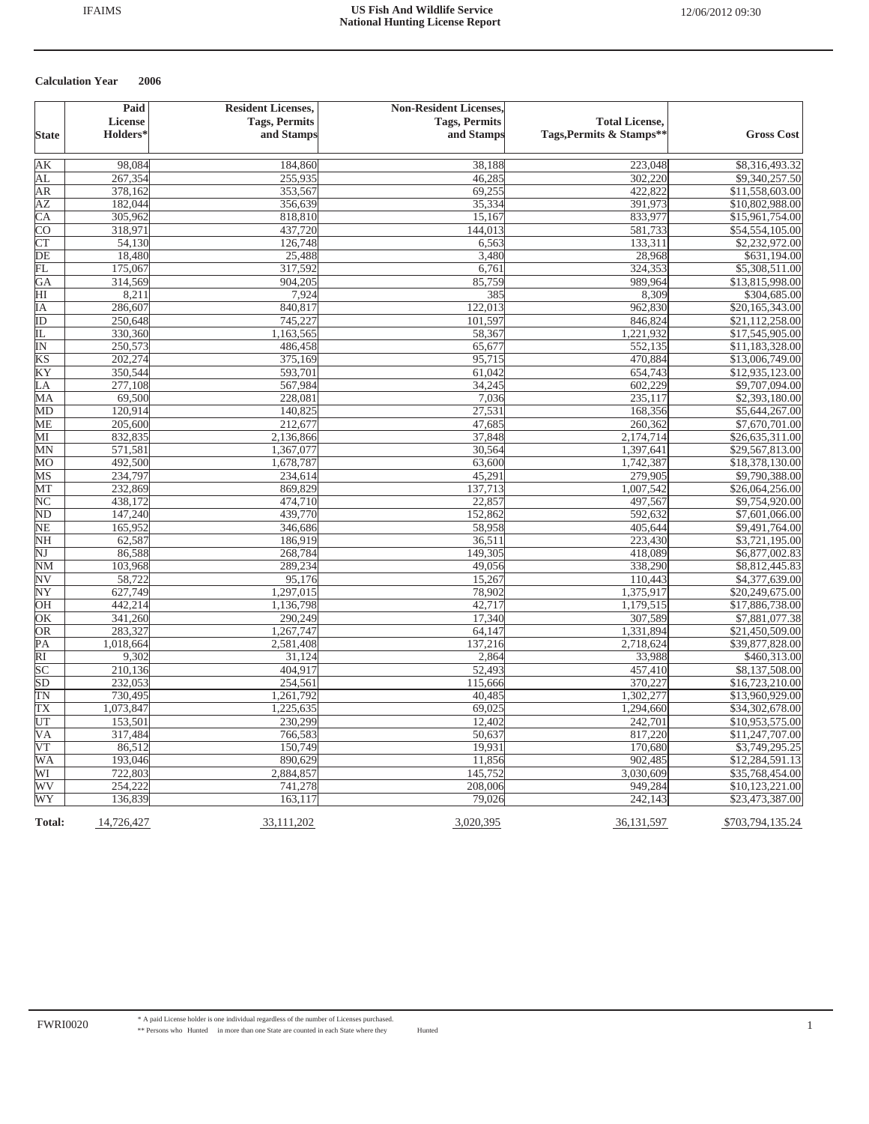|                         | Paid               | <b>Resident Licenses,</b> | <b>Non-Resident Licenses,</b> |                          |                                   |
|-------------------------|--------------------|---------------------------|-------------------------------|--------------------------|-----------------------------------|
|                         | License            | <b>Tags, Permits</b>      | <b>Tags, Permits</b>          | <b>Total License,</b>    |                                   |
| <b>State</b>            | Holders*           | and Stamps                | and Stamps                    | Tags, Permits & Stamps** | <b>Gross Cost</b>                 |
|                         |                    |                           |                               |                          |                                   |
| lΑK                     | 98,084             | 184,860                   | 38,188                        | 223,048                  | \$8,316,493.32                    |
| AL                      | 267,354            | 255,935                   | 46,285                        | 302,220                  | \$9,340,257.50                    |
| ΑR                      | 378,162            | 353,567                   | 69,255                        | 422,822                  | \$11,558,603.00                   |
| AZ                      | 182,044            | 356,639                   | 35,334                        | 391,973                  | \$10,802,988.00                   |
| CA                      | 305,962            | 818,810                   | 15,167                        | 833,977                  | \$15,961,754.00                   |
| $\overline{\text{CO}}$  | 318,971            | 437,720                   | 144,013                       | 581,733                  | \$54,554,105.00                   |
| <b>CT</b>               | 54,130             | 126,748                   | 6,563                         | 133,311                  | \$2,232,972.00                    |
| DE                      | 18,480             | 25,488                    | 3,480                         | 28,968                   | \$631,194.00                      |
| FL                      | 175,067            | 317,592                   | 6,761                         | 324,353                  | \$5,308,511.00                    |
| GA                      | 314,569            | 904,205                   | 85,759                        | 989,964                  | \$13,815,998.00                   |
| HI                      | 8,211              | 7,924                     | 385                           | 8,309                    | \$304,685.00                      |
| IΑ                      | 286,607            | 840,817                   | 122,013                       | 962,830                  | \$20,165,343.00                   |
| ID                      | 250,648            | 745,227                   | 101,597                       | 846,824                  | \$21,112,258.00                   |
| IL                      | 330,360            | 1,163,565                 | 58,367                        | 1,221,932                | \$17,545,905.00                   |
| $\overline{\mathbb{N}}$ | 250,573            | 486,458                   | 65,677                        | 552,135                  | \$11,183,328.00                   |
| KS                      | 202,274            | 375,169                   | 95,715                        | 470,884                  | \$13,006,749.00                   |
| ΚY                      | 350,544            | 593,701                   | 61,042                        | 654,743                  | \$12,935,123.00                   |
| LA                      | 277,108            | 567,984                   | 34,245                        | 602,229                  | \$9,707,094.00                    |
| MА                      | 69,500             | 228,081                   | 7,036                         | 235,117                  | \$2,393,180.00                    |
| MD                      | 120,914            | 140,825                   | 27,531                        | 168,356                  | \$5,644,267.00                    |
| МE                      | 205,600            | 212,677                   | 47,685                        | 260,362                  | \$7,670,701.00                    |
| MІ                      | 832,835            | 2,136,866                 | 37,848                        | 2,174,714                | \$26,635,311.00                   |
| MN                      | 571,581            | 1,367,077                 | 30,564                        | 1,397,641                | \$29,567,813.00                   |
| МO                      | 492,500            | 1,678,787                 | 63,600                        | 1,742,387                | \$18,378,130.00                   |
| MS                      | 234,797            | 234,614                   | 45,291                        | 279,905                  | \$9,790,388.00                    |
| MТ                      | 232,869            | 869,829                   | 137,713                       | 1,007,542                | \$26,064,256.00                   |
| NC                      | 438,172            | 474,710                   | 22,857                        | 497,567                  | \$9,754,920.00                    |
| ND                      | 147,240            | 439,770                   | 152,862                       | 592,632                  | \$7,601,066.00                    |
| NE                      | 165,952            | 346,686                   | 58,958                        | 405,644                  | \$9,491,764.00                    |
| NH                      | 62,587             | 186,919                   | 36,511                        | 223,430                  | \$3,721,195.00                    |
| NJ                      | 86,588             | 268,784                   | 149,305                       | 418,089                  | \$6,877,002.83                    |
| NΜ                      | 103,968            | 289,234                   | 49,056                        | 338,290                  | \$8,812,445.83                    |
| NV                      | 58,722             | 95,176                    | 15,267                        | 110,443                  | \$4,377,639.00                    |
| NY                      | 627,749            | 1,297,015                 | 78,902                        | 1,375,917                | \$20,249,675.00                   |
| ЮH                      | 442,214            | 1,136,798                 | 42,717                        | 1,179,515                | \$17,886,738.00                   |
| OK                      | 341,260            | 290,249                   | 17,340                        | 307,589                  | \$7,881,077.38                    |
| <b>OR</b>               | 283,327            | 1,267,747                 | 64,147                        | 1,331,894                | \$21,450,509.00                   |
| PА                      | 1,018,664          | 2,581,408                 | 137,216                       | 2,718,624                | \$39,877,828.00                   |
| $\overline{RI}$         | 9,302              | 31,124                    | 2,864                         | 33,988                   | \$460,313.00                      |
| SС                      | 210,136            | 404,917                   | 52,493                        | 457,410                  | \$8,137,508.00                    |
| SD                      | 232,053<br>730,495 | 254,561<br>1,261,792      | 115,666<br>40,485             | 370,227<br>1,302,277     | \$16,723,210.00                   |
| TΝ                      |                    |                           | 69,025                        |                          | \$13,960,929.00                   |
| TX                      | 1,073,847          | 1,225,635                 |                               | 1,294,660                | \$34,302,678.00                   |
| UT<br>VА                | 153,501<br>317,484 | 230,299<br>766,583        | 12,402<br>50,637              | 242,701<br>817,220       | \$10,953,575.00                   |
| VT                      | 86,512             | 150,749                   | 19,931                        | 170,680                  | \$11,247,707.00<br>\$3,749,295.25 |
| WA                      | 193,046            | 890,629                   | 11,856                        | 902,485                  | \$12,284,591.13                   |
| WI                      | 722,803            | 2,884,857                 | 145,752                       | 3,030,609                | \$35,768,454.00                   |
| WV                      | 254,222            | 741,278                   | 208,006                       | 949,284                  | \$10,123,221.00                   |
| WY                      | 136,839            | 163, 117                  | 79,026                        | 242,143                  | \$23,473,387.00                   |
| <b>Total:</b>           | 14,726,427         | 33,111,202                | 3,020,395                     | 36,131,597               | \$703,794,135.24                  |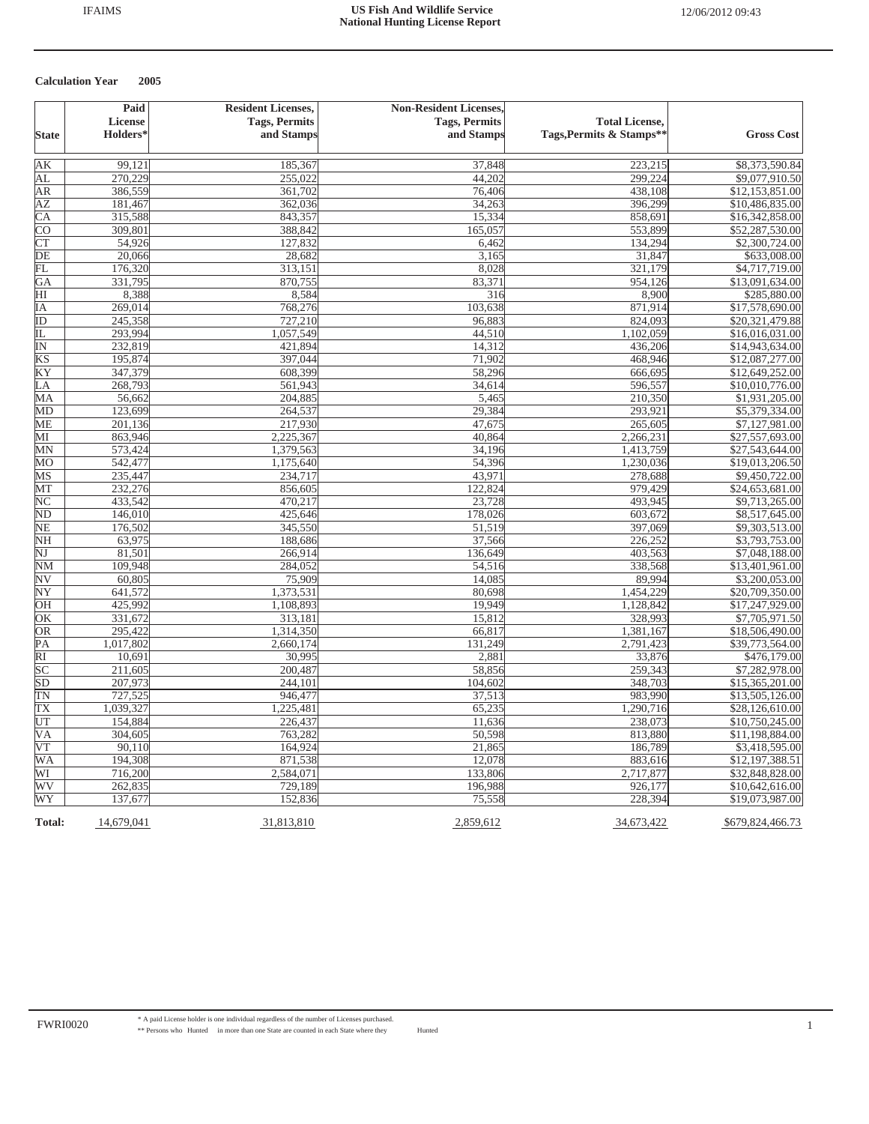|                          | Paid                 | <b>Resident Licenses,</b> | <b>Non-Resident Licenses,</b> |                          |                            |
|--------------------------|----------------------|---------------------------|-------------------------------|--------------------------|----------------------------|
|                          | License              | <b>Tags, Permits</b>      | <b>Tags, Permits</b>          | <b>Total License,</b>    |                            |
| <b>State</b>             | Holders <sup>*</sup> | and Stamps                | and Stamps                    | Tags, Permits & Stamps** | <b>Gross Cost</b>          |
| AК                       | 99,121               | 185,367                   | 37,848                        | 223,215                  | \$8,373,590.84             |
| ΑL                       | 270,229              | 255,022                   | 44,202                        | 299,224                  | \$9,077,910.50             |
| ΑR                       | 386,559              | 361,702                   | 76,406                        | 438,108                  | \$12,153,851.00            |
| AΖ                       | 181,467              | 362,036                   | 34,263                        | 396,299                  | \$10,486,835.00            |
| СA                       | 315,588              | 843,357                   | 15,334                        | 858,691                  | \$16,342,858.00            |
| CО                       | 309,801              | 388,842                   | 165,057                       | 553,899                  | \$52,287,530.00            |
| $\overline{\text{CT}}$   | 54,926               | 127,832                   | 6,462                         | 134,294                  | $\overline{$2,300,724.00}$ |
| DE                       | 20,066               | 28,682                    | 3,165                         | 31,847                   | \$633,008.00               |
| FL                       | 176,320              | 313,151                   | 8,028                         | 321,179                  | \$4,717,719.00             |
| GA                       | 331,795              | 870,755                   | 83,371                        | 954,126                  | \$13,091,634.00            |
| HI                       | 8,388                | 8,584                     | 316                           | 8,900                    | \$285,880.00               |
| ΙA                       | 269,014              | 768,276                   | 103,638                       | 871,914                  | \$17,578,690.00            |
| ID                       | 245,358              | 727,210                   | 96,883                        | 824,093                  | \$20,321,479.88            |
| IL                       | 293,994              | 1,057,549                 | 44,510                        | 1,102,059                | \$16,016,031.00            |
| $\overline{\text{IN}}$   | 232,819              | 421,894                   | 14,312                        | 436,206                  | \$14,943,634.00            |
| KS                       | 195,874              | 397,044                   | 71,902                        | 468,946                  | \$12,087,277.00            |
| ΚY                       | 347,379              | 608,399                   | 58,296                        | 666,695                  | \$12,649,252.00            |
| LA                       | 268,793              | 561,943                   | 34,614                        | 596,557                  | \$10,010,776.00            |
| МA                       | 56,662               | 204,885                   | 5,465                         | 210,350                  | \$1,931,205.00             |
| MD                       | 123,699              | 264,537                   | 29,384                        | 293,921                  | \$5,379,334.00             |
| ME                       | 201,136              | 217,930                   | 47,675                        | 265,605                  | \$7,127,981.00             |
| MI                       | 863,946              | 2,225,367                 | 40,864                        | 2,266,231                | \$27,557,693.00            |
| MN                       | 573,424              | 1,379,563                 | 34,196                        | 1,413,759                | \$27,543,644.00            |
| MО                       | 542,477              | 1,175,640                 | 54,396                        | 1,230,036                | \$19,013,206.50            |
| MS                       | 235,447              | 234,717                   | 43,971                        | 278,688                  | \$9,450,722.00             |
| MT                       | 232,276              | 856,605                   | 122,824                       | 979,429                  | \$24,653,681.00            |
| $\overline{\rm NC}$      | 433,542              | 470,217                   | 23,728                        | 493,945                  | \$9,713,265.00             |
| $\overline{\rm ND}$      | 146,010              | 425,646                   | 178,026                       | 603,672                  | \$8,517,645.00             |
| NΕ                       | 176,502              | 345,550                   | 51,519                        | 397,069                  | \$9,303,513.00             |
| NΗ                       | 63,975               | 188,686                   | 37,566                        | 226,252                  | \$3,793,753.00             |
| NJ                       | 81,501               | 266,914                   | 136,649                       | 403,563                  | \$7,048,188.00             |
| NΜ                       | 109,948              | 284,052                   | 54,516                        | 338,568                  | \$13,401,961.00            |
| $\overline{\text{NV}}$   | 60,805               | 75,909                    | 14,085                        | 89.994                   | \$3,200,053.00             |
| $\overline{\text{NY}}$   | 641,572              | 1,373,531                 | 80,698                        | 1,454,229                | \$20,709,350.00            |
| OН                       | 425,992              | 1,108,893                 | 19,949                        | 1,128,842                | \$17,247,929.00            |
| OК                       | 331,672              | 313,181                   | 15,812                        | 328,993                  | \$7,705,971.50             |
| OR                       | 295,422              | 1,314,350                 | 66,817                        | 1,381,167                | \$18,506,490.00            |
| PА                       | 1,017,802            | 2,660,174                 | 131,249                       | 2,791,423                | \$39,773,564.00            |
| $\overline{RI}$          | 10,69                | 30,995                    | 2,881                         | 33,876                   | \$476,179.00               |
| $\overline{SC}$          | 211,605              | 200,487                   | 58,856                        | 259,343                  | \$7,282,978.00             |
| $\overline{SD}$          | 207,973              | 244,101                   | 104,602                       | 348,703                  | \$15,365,201.00            |
| TΝ                       | 727,525              | 946,477                   | 37,513                        | 983,990                  | \$13,505,126.00            |
| TX                       | 1,039,327            | 1,225,481                 | 65,235                        | 1,290,716                | \$28,126,610.00            |
| UT                       | 154,884              | 226,437                   | 11,636                        | 238,073                  | \$10,750,245.00            |
| $\overline{\mathsf{VA}}$ | 304,605              | 763,282                   | 50,598                        | 813,880                  | \$11,198,884.00            |
| V T                      | 90,110               | 164,924                   | 21,865                        | 186,789                  | \$3,418,595.00             |
| WA                       | 194,308              | 871,538                   | 12,078                        | 883,616                  | \$12,197,388.51            |
| WI                       | 716,200              | 2,584,071                 | 133,806                       | 2,717,877                | \$32,848,828.00            |
| WV                       | 262,835              | 729,189                   | 196,988                       | 926,177                  | \$10,642,616.00            |
| WY                       | 137,677              | 152,836                   | 75,558                        | 228,394                  | \$19,073,987.00            |
| Total:                   | 14,679,041           | 31,813,810                | 2,859,612                     | 34,673,422               | \$679,824,466.73           |